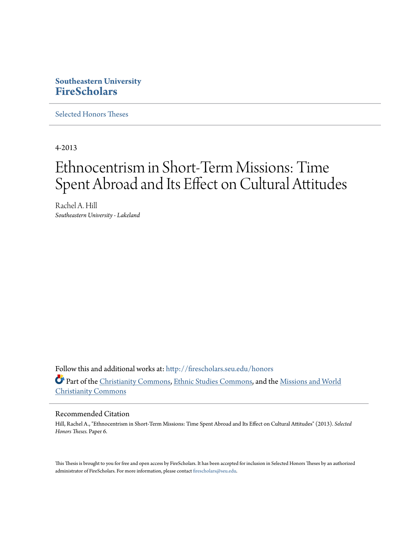# **Southeastern University [FireScholars](http://firescholars.seu.edu?utm_source=firescholars.seu.edu%2Fhonors%2F6&utm_medium=PDF&utm_campaign=PDFCoverPages)**

[Selected Honors Theses](http://firescholars.seu.edu/honors?utm_source=firescholars.seu.edu%2Fhonors%2F6&utm_medium=PDF&utm_campaign=PDFCoverPages)

4-2013

# Ethnocentrism in Short-Term Missions: Time Spent Abroad and Its Effect on Cultural Attitudes

Rachel A. Hill *Southeastern University - Lakeland*

Follow this and additional works at: [http://firescholars.seu.edu/honors](http://firescholars.seu.edu/honors?utm_source=firescholars.seu.edu%2Fhonors%2F6&utm_medium=PDF&utm_campaign=PDFCoverPages) Part of the [Christianity Commons,](http://network.bepress.com/hgg/discipline/1181?utm_source=firescholars.seu.edu%2Fhonors%2F6&utm_medium=PDF&utm_campaign=PDFCoverPages) [Ethnic Studies Commons,](http://network.bepress.com/hgg/discipline/570?utm_source=firescholars.seu.edu%2Fhonors%2F6&utm_medium=PDF&utm_campaign=PDFCoverPages) and the [Missions and World](http://network.bepress.com/hgg/discipline/1187?utm_source=firescholars.seu.edu%2Fhonors%2F6&utm_medium=PDF&utm_campaign=PDFCoverPages) [Christianity Commons](http://network.bepress.com/hgg/discipline/1187?utm_source=firescholars.seu.edu%2Fhonors%2F6&utm_medium=PDF&utm_campaign=PDFCoverPages)

## Recommended Citation

Hill, Rachel A., "Ethnocentrism in Short-Term Missions: Time Spent Abroad and Its Effect on Cultural Attitudes" (2013). *Selected Honors Theses.* Paper 6.

This Thesis is brought to you for free and open access by FireScholars. It has been accepted for inclusion in Selected Honors Theses by an authorized administrator of FireScholars. For more information, please contact [firescholars@seu.edu](mailto:firescholars@seu.edu).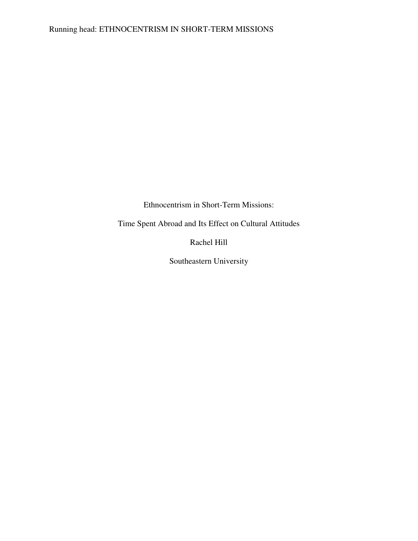Ethnocentrism in Short-Term Missions:

Time Spent Abroad and Its Effect on Cultural Attitudes

Rachel Hill

Southeastern University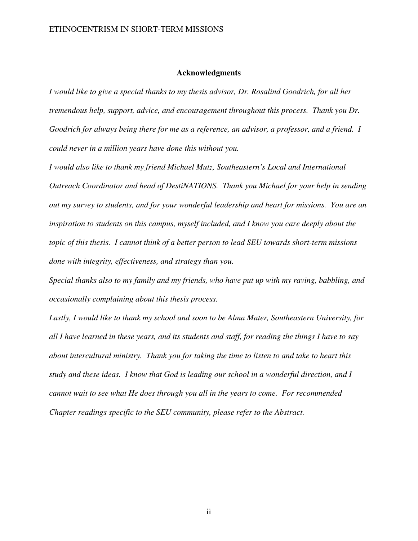### **Acknowledgments**

*I would like to give a special thanks to my thesis advisor, Dr. Rosalind Goodrich, for all her tremendous help, support, advice, and encouragement throughout this process. Thank you Dr. Goodrich for always being there for me as a reference, an advisor, a professor, and a friend. I could never in a million years have done this without you.* 

*I would also like to thank my friend Michael Mutz, Southeastern's Local and International Outreach Coordinator and head of DestiNATIONS. Thank you Michael for your help in sending out my survey to students, and for your wonderful leadership and heart for missions. You are an inspiration to students on this campus, myself included, and I know you care deeply about the topic of this thesis. I cannot think of a better person to lead SEU towards short-term missions done with integrity, effectiveness, and strategy than you.* 

*Special thanks also to my family and my friends, who have put up with my raving, babbling, and occasionally complaining about this thesis process.* 

*Lastly, I would like to thank my school and soon to be Alma Mater, Southeastern University, for all I have learned in these years, and its students and staff, for reading the things I have to say about intercultural ministry. Thank you for taking the time to listen to and take to heart this study and these ideas. I know that God is leading our school in a wonderful direction, and I cannot wait to see what He does through you all in the years to come. For recommended Chapter readings specific to the SEU community, please refer to the Abstract.* 

ii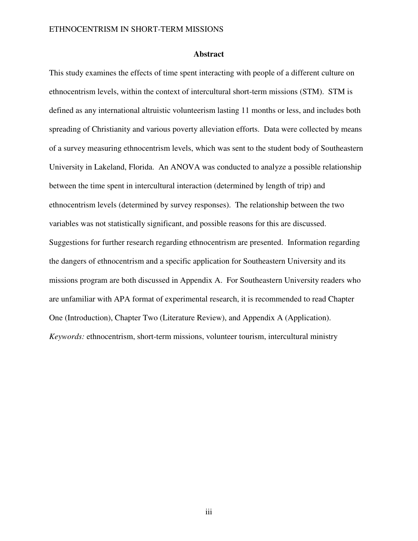#### **Abstract**

This study examines the effects of time spent interacting with people of a different culture on ethnocentrism levels, within the context of intercultural short-term missions (STM). STM is defined as any international altruistic volunteerism lasting 11 months or less, and includes both spreading of Christianity and various poverty alleviation efforts. Data were collected by means of a survey measuring ethnocentrism levels, which was sent to the student body of Southeastern University in Lakeland, Florida. An ANOVA was conducted to analyze a possible relationship between the time spent in intercultural interaction (determined by length of trip) and ethnocentrism levels (determined by survey responses). The relationship between the two variables was not statistically significant, and possible reasons for this are discussed. Suggestions for further research regarding ethnocentrism are presented. Information regarding the dangers of ethnocentrism and a specific application for Southeastern University and its missions program are both discussed in Appendix A. For Southeastern University readers who are unfamiliar with APA format of experimental research, it is recommended to read Chapter One (Introduction), Chapter Two (Literature Review), and Appendix A (Application). *Keywords:* ethnocentrism, short-term missions, volunteer tourism, intercultural ministry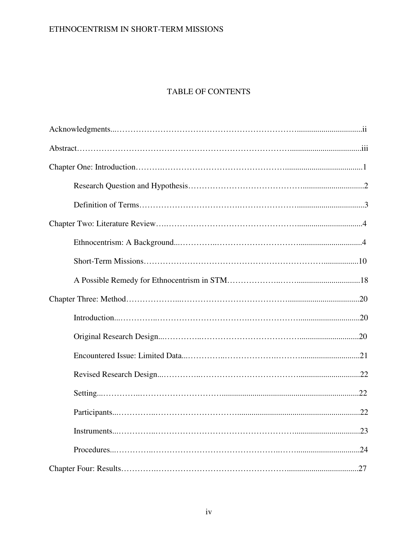# ETHNOCENTRISM IN SHORT-TERM MISSIONS

# TABLE OF CONTENTS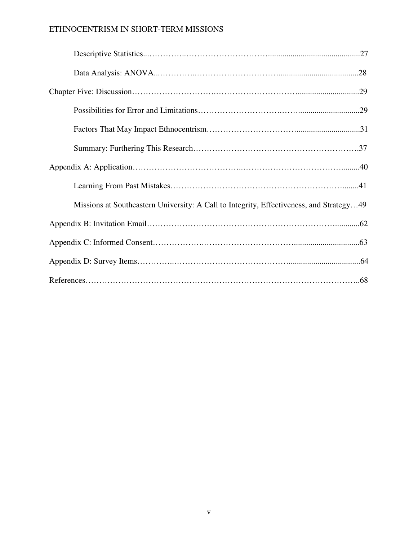# ETHNOCENTRISM IN SHORT-TERM MISSIONS

| .28                                                                                     |
|-----------------------------------------------------------------------------------------|
|                                                                                         |
|                                                                                         |
|                                                                                         |
|                                                                                         |
|                                                                                         |
|                                                                                         |
| Missions at Southeastern University: A Call to Integrity, Effectiveness, and Strategy49 |
|                                                                                         |
|                                                                                         |
|                                                                                         |
|                                                                                         |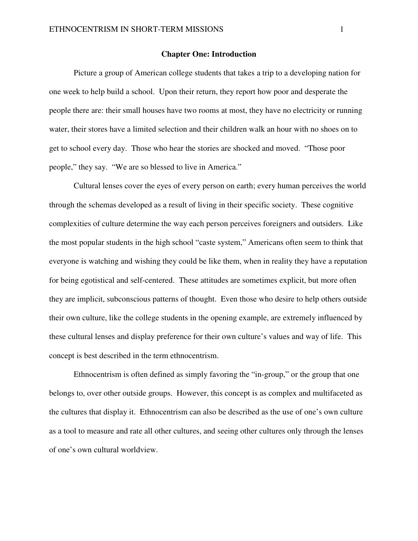#### **Chapter One: Introduction**

Picture a group of American college students that takes a trip to a developing nation for one week to help build a school. Upon their return, they report how poor and desperate the people there are: their small houses have two rooms at most, they have no electricity or running water, their stores have a limited selection and their children walk an hour with no shoes on to get to school every day. Those who hear the stories are shocked and moved. "Those poor people," they say. "We are so blessed to live in America."

 Cultural lenses cover the eyes of every person on earth; every human perceives the world through the schemas developed as a result of living in their specific society. These cognitive complexities of culture determine the way each person perceives foreigners and outsiders. Like the most popular students in the high school "caste system," Americans often seem to think that everyone is watching and wishing they could be like them, when in reality they have a reputation for being egotistical and self-centered. These attitudes are sometimes explicit, but more often they are implicit, subconscious patterns of thought. Even those who desire to help others outside their own culture, like the college students in the opening example, are extremely influenced by these cultural lenses and display preference for their own culture's values and way of life. This concept is best described in the term ethnocentrism.

 Ethnocentrism is often defined as simply favoring the "in-group," or the group that one belongs to, over other outside groups. However, this concept is as complex and multifaceted as the cultures that display it. Ethnocentrism can also be described as the use of one's own culture as a tool to measure and rate all other cultures, and seeing other cultures only through the lenses of one's own cultural worldview.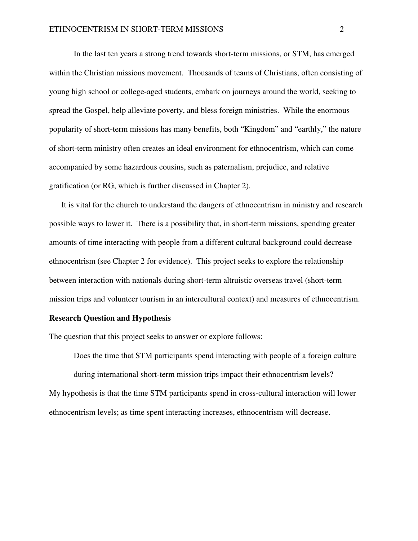In the last ten years a strong trend towards short-term missions, or STM, has emerged within the Christian missions movement. Thousands of teams of Christians, often consisting of young high school or college-aged students, embark on journeys around the world, seeking to spread the Gospel, help alleviate poverty, and bless foreign ministries. While the enormous popularity of short-term missions has many benefits, both "Kingdom" and "earthly," the nature of short-term ministry often creates an ideal environment for ethnocentrism, which can come accompanied by some hazardous cousins, such as paternalism, prejudice, and relative gratification (or RG, which is further discussed in Chapter 2).

It is vital for the church to understand the dangers of ethnocentrism in ministry and research possible ways to lower it. There is a possibility that, in short-term missions, spending greater amounts of time interacting with people from a different cultural background could decrease ethnocentrism (see Chapter 2 for evidence). This project seeks to explore the relationship between interaction with nationals during short-term altruistic overseas travel (short-term mission trips and volunteer tourism in an intercultural context) and measures of ethnocentrism.

#### **Research Question and Hypothesis**

The question that this project seeks to answer or explore follows:

Does the time that STM participants spend interacting with people of a foreign culture during international short-term mission trips impact their ethnocentrism levels? My hypothesis is that the time STM participants spend in cross-cultural interaction will lower ethnocentrism levels; as time spent interacting increases, ethnocentrism will decrease.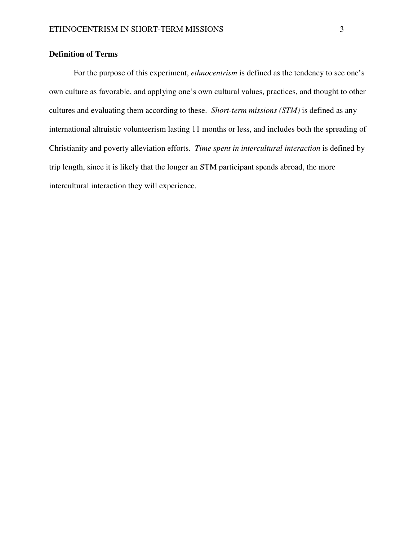# **Definition of Terms**

 For the purpose of this experiment, *ethnocentrism* is defined as the tendency to see one's own culture as favorable, and applying one's own cultural values, practices, and thought to other cultures and evaluating them according to these. *Short-term missions (STM)* is defined as any international altruistic volunteerism lasting 11 months or less, and includes both the spreading of Christianity and poverty alleviation efforts. *Time spent in intercultural interaction* is defined by trip length, since it is likely that the longer an STM participant spends abroad, the more intercultural interaction they will experience.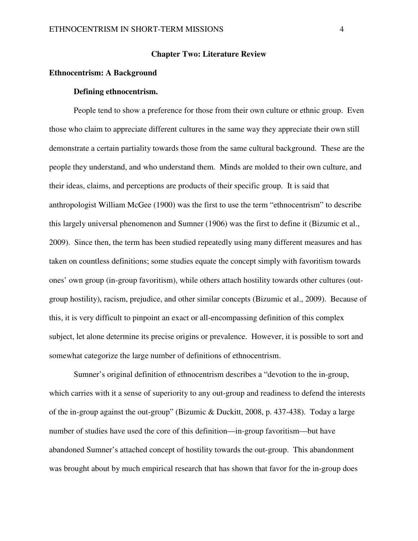#### **Chapter Two: Literature Review**

#### **Ethnocentrism: A Background**

#### **Defining ethnocentrism.**

People tend to show a preference for those from their own culture or ethnic group. Even those who claim to appreciate different cultures in the same way they appreciate their own still demonstrate a certain partiality towards those from the same cultural background. These are the people they understand, and who understand them. Minds are molded to their own culture, and their ideas, claims, and perceptions are products of their specific group. It is said that anthropologist William McGee (1900) was the first to use the term "ethnocentrism" to describe this largely universal phenomenon and Sumner (1906) was the first to define it (Bizumic et al., 2009). Since then, the term has been studied repeatedly using many different measures and has taken on countless definitions; some studies equate the concept simply with favoritism towards ones' own group (in-group favoritism), while others attach hostility towards other cultures (outgroup hostility), racism, prejudice, and other similar concepts (Bizumic et al., 2009). Because of this, it is very difficult to pinpoint an exact or all-encompassing definition of this complex subject, let alone determine its precise origins or prevalence. However, it is possible to sort and somewhat categorize the large number of definitions of ethnocentrism.

Sumner's original definition of ethnocentrism describes a "devotion to the in-group, which carries with it a sense of superiority to any out-group and readiness to defend the interests of the in-group against the out-group" (Bizumic & Duckitt, 2008, p. 437-438). Today a large number of studies have used the core of this definition—in-group favoritism—but have abandoned Sumner's attached concept of hostility towards the out-group. This abandonment was brought about by much empirical research that has shown that favor for the in-group does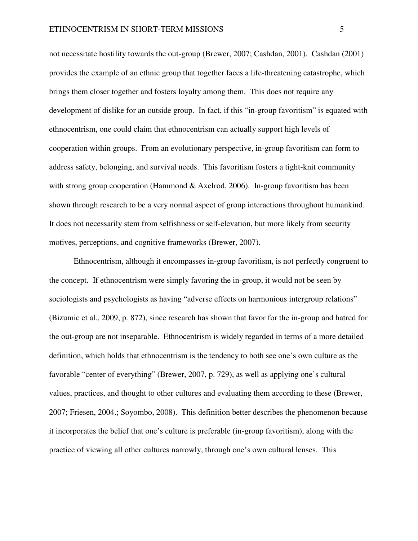not necessitate hostility towards the out-group (Brewer, 2007; Cashdan, 2001). Cashdan (2001) provides the example of an ethnic group that together faces a life-threatening catastrophe, which brings them closer together and fosters loyalty among them. This does not require any development of dislike for an outside group. In fact, if this "in-group favoritism" is equated with ethnocentrism, one could claim that ethnocentrism can actually support high levels of cooperation within groups. From an evolutionary perspective, in-group favoritism can form to address safety, belonging, and survival needs. This favoritism fosters a tight-knit community with strong group cooperation (Hammond  $\&$  Axelrod, 2006). In-group favoritism has been shown through research to be a very normal aspect of group interactions throughout humankind. It does not necessarily stem from selfishness or self-elevation, but more likely from security motives, perceptions, and cognitive frameworks (Brewer, 2007).

Ethnocentrism, although it encompasses in-group favoritism, is not perfectly congruent to the concept. If ethnocentrism were simply favoring the in-group, it would not be seen by sociologists and psychologists as having "adverse effects on harmonious intergroup relations" (Bizumic et al., 2009, p. 872), since research has shown that favor for the in-group and hatred for the out-group are not inseparable. Ethnocentrism is widely regarded in terms of a more detailed definition, which holds that ethnocentrism is the tendency to both see one's own culture as the favorable "center of everything" (Brewer, 2007, p. 729), as well as applying one's cultural values, practices, and thought to other cultures and evaluating them according to these (Brewer, 2007; Friesen, 2004.; Soyombo, 2008). This definition better describes the phenomenon because it incorporates the belief that one's culture is preferable (in-group favoritism), along with the practice of viewing all other cultures narrowly, through one's own cultural lenses. This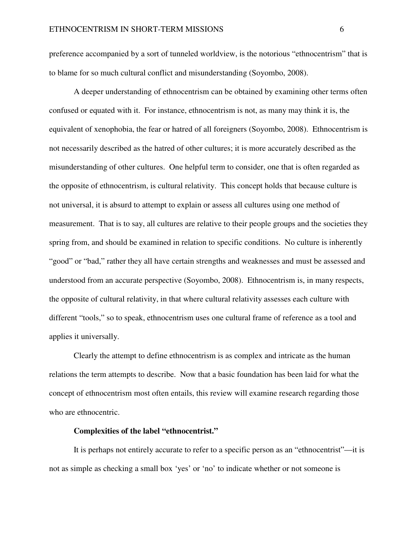preference accompanied by a sort of tunneled worldview, is the notorious "ethnocentrism" that is to blame for so much cultural conflict and misunderstanding (Soyombo, 2008).

A deeper understanding of ethnocentrism can be obtained by examining other terms often confused or equated with it. For instance, ethnocentrism is not, as many may think it is, the equivalent of xenophobia, the fear or hatred of all foreigners (Soyombo, 2008). Ethnocentrism is not necessarily described as the hatred of other cultures; it is more accurately described as the misunderstanding of other cultures. One helpful term to consider, one that is often regarded as the opposite of ethnocentrism, is cultural relativity. This concept holds that because culture is not universal, it is absurd to attempt to explain or assess all cultures using one method of measurement. That is to say, all cultures are relative to their people groups and the societies they spring from, and should be examined in relation to specific conditions. No culture is inherently "good" or "bad," rather they all have certain strengths and weaknesses and must be assessed and understood from an accurate perspective (Soyombo, 2008). Ethnocentrism is, in many respects, the opposite of cultural relativity, in that where cultural relativity assesses each culture with different "tools," so to speak, ethnocentrism uses one cultural frame of reference as a tool and applies it universally.

Clearly the attempt to define ethnocentrism is as complex and intricate as the human relations the term attempts to describe. Now that a basic foundation has been laid for what the concept of ethnocentrism most often entails, this review will examine research regarding those who are ethnocentric.

#### **Complexities of the label "ethnocentrist."**

 It is perhaps not entirely accurate to refer to a specific person as an "ethnocentrist"—it is not as simple as checking a small box 'yes' or 'no' to indicate whether or not someone is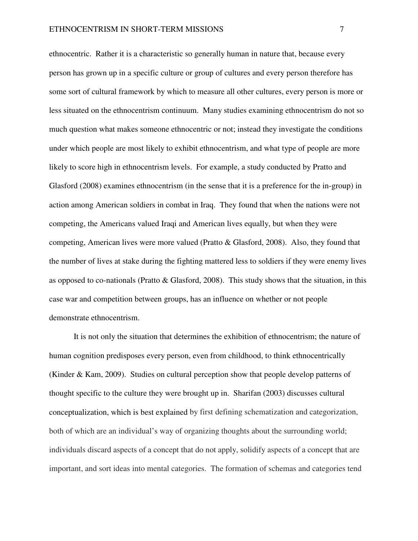ethnocentric. Rather it is a characteristic so generally human in nature that, because every person has grown up in a specific culture or group of cultures and every person therefore has some sort of cultural framework by which to measure all other cultures, every person is more or less situated on the ethnocentrism continuum. Many studies examining ethnocentrism do not so much question what makes someone ethnocentric or not; instead they investigate the conditions under which people are most likely to exhibit ethnocentrism, and what type of people are more likely to score high in ethnocentrism levels. For example, a study conducted by Pratto and Glasford (2008) examines ethnocentrism (in the sense that it is a preference for the in-group) in action among American soldiers in combat in Iraq. They found that when the nations were not competing, the Americans valued Iraqi and American lives equally, but when they were competing, American lives were more valued (Pratto & Glasford, 2008). Also, they found that the number of lives at stake during the fighting mattered less to soldiers if they were enemy lives as opposed to co-nationals (Pratto & Glasford, 2008). This study shows that the situation, in this case war and competition between groups, has an influence on whether or not people demonstrate ethnocentrism.

 It is not only the situation that determines the exhibition of ethnocentrism; the nature of human cognition predisposes every person, even from childhood, to think ethnocentrically (Kinder & Kam, 2009). Studies on cultural perception show that people develop patterns of thought specific to the culture they were brought up in. Sharifan (2003) discusses cultural conceptualization, which is best explained by first defining schematization and categorization, both of which are an individual's way of organizing thoughts about the surrounding world; individuals discard aspects of a concept that do not apply, solidify aspects of a concept that are important, and sort ideas into mental categories. The formation of schemas and categories tend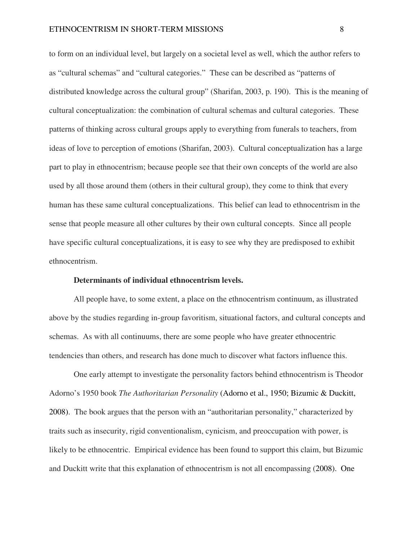to form on an individual level, but largely on a societal level as well, which the author refers to as "cultural schemas" and "cultural categories." These can be described as "patterns of distributed knowledge across the cultural group" (Sharifan, 2003, p. 190). This is the meaning of cultural conceptualization: the combination of cultural schemas and cultural categories. These patterns of thinking across cultural groups apply to everything from funerals to teachers, from ideas of love to perception of emotions (Sharifan, 2003). Cultural conceptualization has a large part to play in ethnocentrism; because people see that their own concepts of the world are also used by all those around them (others in their cultural group), they come to think that every human has these same cultural conceptualizations. This belief can lead to ethnocentrism in the sense that people measure all other cultures by their own cultural concepts. Since all people have specific cultural conceptualizations, it is easy to see why they are predisposed to exhibit ethnocentrism.

#### **Determinants of individual ethnocentrism levels.**

All people have, to some extent, a place on the ethnocentrism continuum, as illustrated above by the studies regarding in-group favoritism, situational factors, and cultural concepts and schemas. As with all continuums, there are some people who have greater ethnocentric tendencies than others, and research has done much to discover what factors influence this.

One early attempt to investigate the personality factors behind ethnocentrism is Theodor Adorno's 1950 book *The Authoritarian Personality* (Adorno et al., 1950; Bizumic & Duckitt, 2008). The book argues that the person with an "authoritarian personality," characterized by traits such as insecurity, rigid conventionalism, cynicism, and preoccupation with power, is likely to be ethnocentric. Empirical evidence has been found to support this claim, but Bizumic and Duckitt write that this explanation of ethnocentrism is not all encompassing (2008). One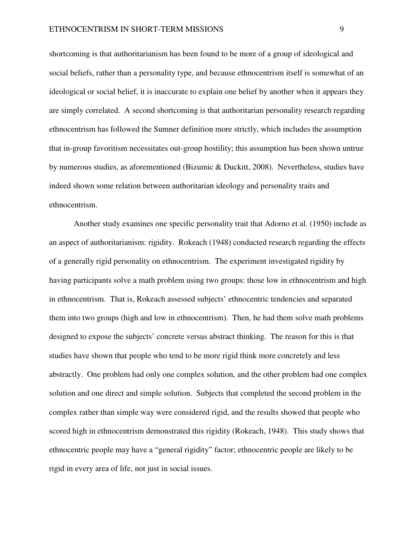shortcoming is that authoritarianism has been found to be more of a group of ideological and social beliefs, rather than a personality type, and because ethnocentrism itself is somewhat of an ideological or social belief, it is inaccurate to explain one belief by another when it appears they are simply correlated. A second shortcoming is that authoritarian personality research regarding ethnocentrism has followed the Sumner definition more strictly, which includes the assumption that in-group favoritism necessitates out-group hostility; this assumption has been shown untrue by numerous studies, as aforementioned (Bizumic & Duckitt, 2008). Nevertheless, studies have indeed shown some relation between authoritarian ideology and personality traits and ethnocentrism.

Another study examines one specific personality trait that Adorno et al. (1950) include as an aspect of authoritarianism: rigidity. Rokeach (1948) conducted research regarding the effects of a generally rigid personality on ethnocentrism. The experiment investigated rigidity by having participants solve a math problem using two groups: those low in ethnocentrism and high in ethnocentrism. That is, Rokeach assessed subjects' ethnocentric tendencies and separated them into two groups (high and low in ethnocentrism). Then, he had them solve math problems designed to expose the subjects' concrete versus abstract thinking. The reason for this is that studies have shown that people who tend to be more rigid think more concretely and less abstractly. One problem had only one complex solution, and the other problem had one complex solution and one direct and simple solution. Subjects that completed the second problem in the complex rather than simple way were considered rigid, and the results showed that people who scored high in ethnocentrism demonstrated this rigidity (Rokeach, 1948). This study shows that ethnocentric people may have a "general rigidity" factor; ethnocentric people are likely to be rigid in every area of life, not just in social issues.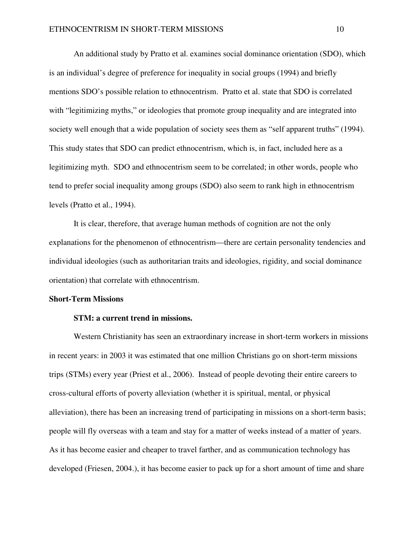An additional study by Pratto et al. examines social dominance orientation (SDO), which is an individual's degree of preference for inequality in social groups (1994) and briefly mentions SDO's possible relation to ethnocentrism. Pratto et al. state that SDO is correlated with "legitimizing myths," or ideologies that promote group inequality and are integrated into society well enough that a wide population of society sees them as "self apparent truths" (1994). This study states that SDO can predict ethnocentrism, which is, in fact, included here as a legitimizing myth. SDO and ethnocentrism seem to be correlated; in other words, people who tend to prefer social inequality among groups (SDO) also seem to rank high in ethnocentrism levels (Pratto et al., 1994).

It is clear, therefore, that average human methods of cognition are not the only explanations for the phenomenon of ethnocentrism—there are certain personality tendencies and individual ideologies (such as authoritarian traits and ideologies, rigidity, and social dominance orientation) that correlate with ethnocentrism.

#### **Short-Term Missions**

#### **STM: a current trend in missions.**

 Western Christianity has seen an extraordinary increase in short-term workers in missions in recent years: in 2003 it was estimated that one million Christians go on short-term missions trips (STMs) every year (Priest et al., 2006). Instead of people devoting their entire careers to cross-cultural efforts of poverty alleviation (whether it is spiritual, mental, or physical alleviation), there has been an increasing trend of participating in missions on a short-term basis; people will fly overseas with a team and stay for a matter of weeks instead of a matter of years. As it has become easier and cheaper to travel farther, and as communication technology has developed (Friesen, 2004.), it has become easier to pack up for a short amount of time and share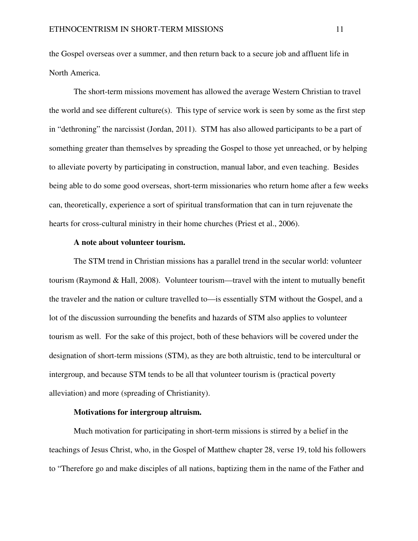the Gospel overseas over a summer, and then return back to a secure job and affluent life in North America.

 The short-term missions movement has allowed the average Western Christian to travel the world and see different culture(s). This type of service work is seen by some as the first step in "dethroning" the narcissist (Jordan, 2011). STM has also allowed participants to be a part of something greater than themselves by spreading the Gospel to those yet unreached, or by helping to alleviate poverty by participating in construction, manual labor, and even teaching. Besides being able to do some good overseas, short-term missionaries who return home after a few weeks can, theoretically, experience a sort of spiritual transformation that can in turn rejuvenate the hearts for cross-cultural ministry in their home churches (Priest et al., 2006).

#### **A note about volunteer tourism.**

The STM trend in Christian missions has a parallel trend in the secular world: volunteer tourism (Raymond & Hall, 2008). Volunteer tourism—travel with the intent to mutually benefit the traveler and the nation or culture travelled to—is essentially STM without the Gospel, and a lot of the discussion surrounding the benefits and hazards of STM also applies to volunteer tourism as well. For the sake of this project, both of these behaviors will be covered under the designation of short-term missions (STM), as they are both altruistic, tend to be intercultural or intergroup, and because STM tends to be all that volunteer tourism is (practical poverty alleviation) and more (spreading of Christianity).

#### **Motivations for intergroup altruism.**

 Much motivation for participating in short-term missions is stirred by a belief in the teachings of Jesus Christ, who, in the Gospel of Matthew chapter 28, verse 19, told his followers to "Therefore go and make disciples of all nations, baptizing them in the name of the Father and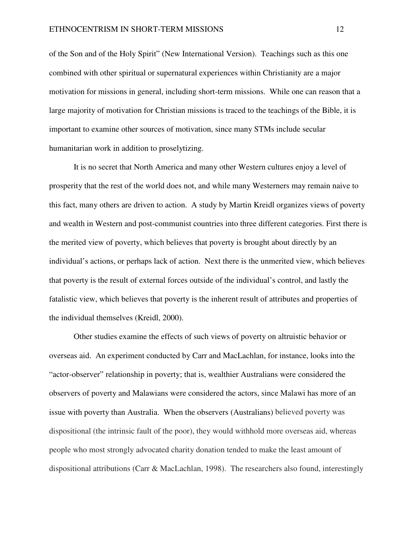of the Son and of the Holy Spirit" (New International Version). Teachings such as this one combined with other spiritual or supernatural experiences within Christianity are a major motivation for missions in general, including short-term missions. While one can reason that a large majority of motivation for Christian missions is traced to the teachings of the Bible, it is important to examine other sources of motivation, since many STMs include secular humanitarian work in addition to proselytizing.

 It is no secret that North America and many other Western cultures enjoy a level of prosperity that the rest of the world does not, and while many Westerners may remain naive to this fact, many others are driven to action. A study by Martin Kreidl organizes views of poverty and wealth in Western and post-communist countries into three different categories. First there is the merited view of poverty, which believes that poverty is brought about directly by an individual's actions, or perhaps lack of action. Next there is the unmerited view, which believes that poverty is the result of external forces outside of the individual's control, and lastly the fatalistic view, which believes that poverty is the inherent result of attributes and properties of the individual themselves (Kreidl, 2000).

Other studies examine the effects of such views of poverty on altruistic behavior or overseas aid. An experiment conducted by Carr and MacLachlan, for instance, looks into the "actor-observer" relationship in poverty; that is, wealthier Australians were considered the observers of poverty and Malawians were considered the actors, since Malawi has more of an issue with poverty than Australia. When the observers (Australians) believed poverty was dispositional (the intrinsic fault of the poor), they would withhold more overseas aid, whereas people who most strongly advocated charity donation tended to make the least amount of dispositional attributions (Carr & MacLachlan, 1998). The researchers also found, interestingly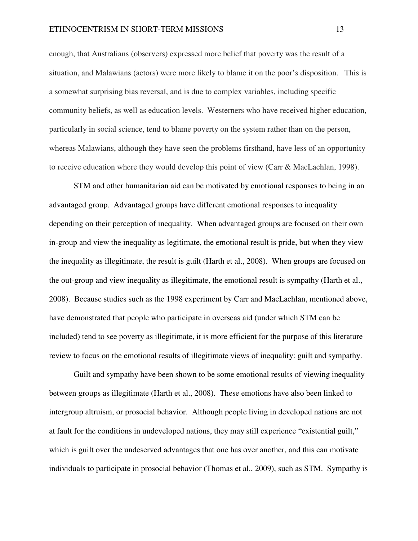enough, that Australians (observers) expressed more belief that poverty was the result of a situation, and Malawians (actors) were more likely to blame it on the poor's disposition. This is a somewhat surprising bias reversal, and is due to complex variables, including specific community beliefs, as well as education levels. Westerners who have received higher education, particularly in social science, tend to blame poverty on the system rather than on the person, whereas Malawians, although they have seen the problems firsthand, have less of an opportunity to receive education where they would develop this point of view (Carr & MacLachlan, 1998).

STM and other humanitarian aid can be motivated by emotional responses to being in an advantaged group. Advantaged groups have different emotional responses to inequality depending on their perception of inequality. When advantaged groups are focused on their own in-group and view the inequality as legitimate, the emotional result is pride, but when they view the inequality as illegitimate, the result is guilt (Harth et al., 2008). When groups are focused on the out-group and view inequality as illegitimate, the emotional result is sympathy (Harth et al., 2008). Because studies such as the 1998 experiment by Carr and MacLachlan, mentioned above, have demonstrated that people who participate in overseas aid (under which STM can be included) tend to see poverty as illegitimate, it is more efficient for the purpose of this literature review to focus on the emotional results of illegitimate views of inequality: guilt and sympathy.

Guilt and sympathy have been shown to be some emotional results of viewing inequality between groups as illegitimate (Harth et al., 2008). These emotions have also been linked to intergroup altruism, or prosocial behavior. Although people living in developed nations are not at fault for the conditions in undeveloped nations, they may still experience "existential guilt," which is guilt over the undeserved advantages that one has over another, and this can motivate individuals to participate in prosocial behavior (Thomas et al., 2009), such as STM. Sympathy is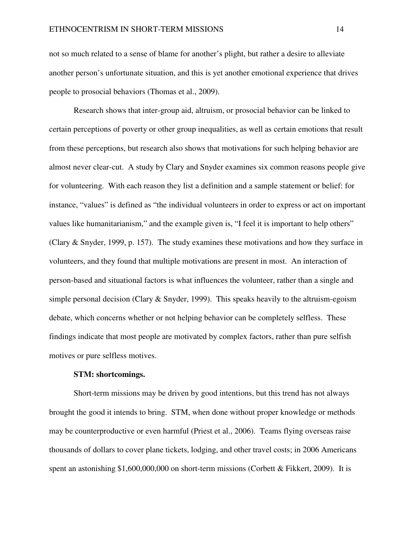not so much related to a sense of blame for another's plight, but rather a desire to alleviate another person's unfortunate situation, and this is yet another emotional experience that drives people to prosocial behaviors (Thomas et al., 2009).

Research shows that inter-group aid, altruism, or prosocial behavior can be linked to certain perceptions of poverty or other group inequalities, as well as certain emotions that result from these perceptions, but research also shows that motivations for such helping behavior are almost never clear-cut. A study by Clary and Snyder examines six common reasons people give for volunteering. With each reason they list a definition and a sample statement or belief: for instance, "values" is defined as "the individual volunteers in order to express or act on important values like humanitarianism," and the example given is, "I feel it is important to help others" (Clary & Snyder, 1999, p. 157). The study examines these motivations and how they surface in volunteers, and they found that multiple motivations are present in most. An interaction of person-based and situational factors is what influences the volunteer, rather than a single and simple personal decision (Clary  $&$  Snyder, 1999). This speaks heavily to the altruism-egoism debate, which concerns whether or not helping behavior can be completely selfless. These findings indicate that most people are motivated by complex factors, rather than pure selfish motives or pure selfless motives.

#### **STM: shortcomings.**

 Short-term missions may be driven by good intentions, but this trend has not always brought the good it intends to bring. STM, when done without proper knowledge or methods may be counterproductive or even harmful (Priest et al., 2006). Teams flying overseas raise thousands of dollars to cover plane tickets, lodging, and other travel costs; in 2006 Americans spent an astonishing \$1,600,000,000 on short-term missions (Corbett & Fikkert, 2009). It is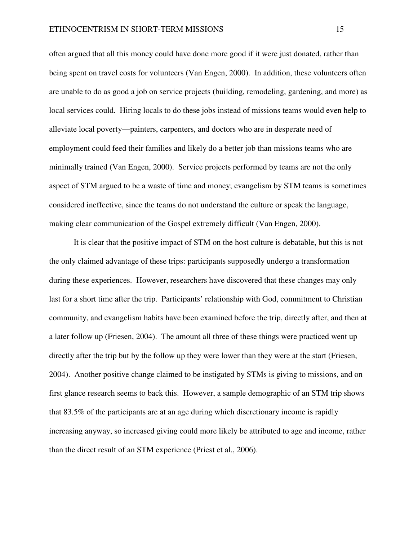often argued that all this money could have done more good if it were just donated, rather than being spent on travel costs for volunteers (Van Engen, 2000). In addition, these volunteers often are unable to do as good a job on service projects (building, remodeling, gardening, and more) as local services could. Hiring locals to do these jobs instead of missions teams would even help to alleviate local poverty—painters, carpenters, and doctors who are in desperate need of employment could feed their families and likely do a better job than missions teams who are minimally trained (Van Engen, 2000). Service projects performed by teams are not the only aspect of STM argued to be a waste of time and money; evangelism by STM teams is sometimes considered ineffective, since the teams do not understand the culture or speak the language, making clear communication of the Gospel extremely difficult (Van Engen, 2000).

It is clear that the positive impact of STM on the host culture is debatable, but this is not the only claimed advantage of these trips: participants supposedly undergo a transformation during these experiences. However, researchers have discovered that these changes may only last for a short time after the trip. Participants' relationship with God, commitment to Christian community, and evangelism habits have been examined before the trip, directly after, and then at a later follow up (Friesen, 2004). The amount all three of these things were practiced went up directly after the trip but by the follow up they were lower than they were at the start (Friesen, 2004). Another positive change claimed to be instigated by STMs is giving to missions, and on first glance research seems to back this. However, a sample demographic of an STM trip shows that 83.5% of the participants are at an age during which discretionary income is rapidly increasing anyway, so increased giving could more likely be attributed to age and income, rather than the direct result of an STM experience (Priest et al., 2006).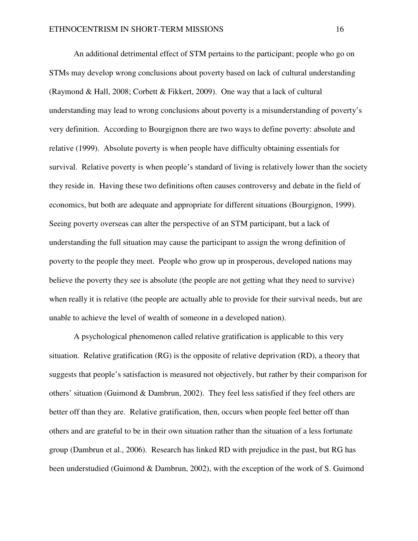An additional detrimental effect of STM pertains to the participant; people who go on STMs may develop wrong conclusions about poverty based on lack of cultural understanding (Raymond & Hall, 2008; Corbett & Fikkert, 2009). One way that a lack of cultural understanding may lead to wrong conclusions about poverty is a misunderstanding of poverty's very definition. According to Bourgignon there are two ways to define poverty: absolute and relative (1999). Absolute poverty is when people have difficulty obtaining essentials for survival. Relative poverty is when people's standard of living is relatively lower than the society they reside in. Having these two definitions often causes controversy and debate in the field of economics, but both are adequate and appropriate for different situations (Bourgignon, 1999). Seeing poverty overseas can alter the perspective of an STM participant, but a lack of understanding the full situation may cause the participant to assign the wrong definition of poverty to the people they meet. People who grow up in prosperous, developed nations may believe the poverty they see is absolute (the people are not getting what they need to survive) when really it is relative (the people are actually able to provide for their survival needs, but are unable to achieve the level of wealth of someone in a developed nation).

 A psychological phenomenon called relative gratification is applicable to this very situation. Relative gratification (RG) is the opposite of relative deprivation (RD), a theory that suggests that people's satisfaction is measured not objectively, but rather by their comparison for others' situation (Guimond & Dambrun, 2002). They feel less satisfied if they feel others are better off than they are. Relative gratification, then, occurs when people feel better off than others and are grateful to be in their own situation rather than the situation of a less fortunate group (Dambrun et al., 2006). Research has linked RD with prejudice in the past, but RG has been understudied (Guimond & Dambrun, 2002), with the exception of the work of S. Guimond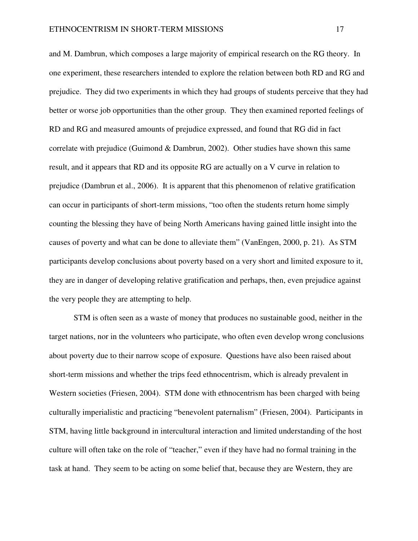and M. Dambrun, which composes a large majority of empirical research on the RG theory. In one experiment, these researchers intended to explore the relation between both RD and RG and prejudice. They did two experiments in which they had groups of students perceive that they had better or worse job opportunities than the other group. They then examined reported feelings of RD and RG and measured amounts of prejudice expressed, and found that RG did in fact correlate with prejudice (Guimond & Dambrun, 2002). Other studies have shown this same result, and it appears that RD and its opposite RG are actually on a V curve in relation to prejudice (Dambrun et al., 2006). It is apparent that this phenomenon of relative gratification can occur in participants of short-term missions, "too often the students return home simply counting the blessing they have of being North Americans having gained little insight into the causes of poverty and what can be done to alleviate them" (VanEngen, 2000, p. 21). As STM participants develop conclusions about poverty based on a very short and limited exposure to it, they are in danger of developing relative gratification and perhaps, then, even prejudice against the very people they are attempting to help.

 STM is often seen as a waste of money that produces no sustainable good, neither in the target nations, nor in the volunteers who participate, who often even develop wrong conclusions about poverty due to their narrow scope of exposure. Questions have also been raised about short-term missions and whether the trips feed ethnocentrism, which is already prevalent in Western societies (Friesen, 2004). STM done with ethnocentrism has been charged with being culturally imperialistic and practicing "benevolent paternalism" (Friesen, 2004). Participants in STM, having little background in intercultural interaction and limited understanding of the host culture will often take on the role of "teacher," even if they have had no formal training in the task at hand. They seem to be acting on some belief that, because they are Western, they are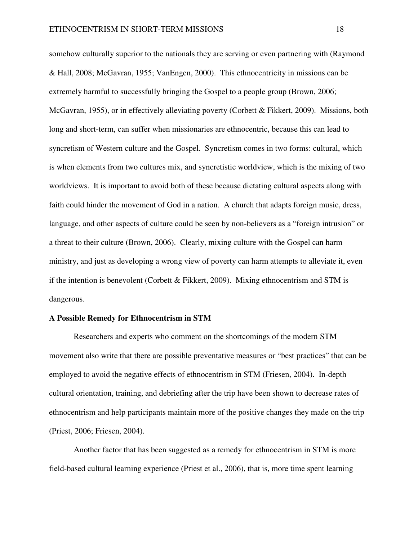somehow culturally superior to the nationals they are serving or even partnering with (Raymond & Hall, 2008; McGavran, 1955; VanEngen, 2000). This ethnocentricity in missions can be extremely harmful to successfully bringing the Gospel to a people group (Brown, 2006; McGavran, 1955), or in effectively alleviating poverty (Corbett & Fikkert, 2009). Missions, both long and short-term, can suffer when missionaries are ethnocentric, because this can lead to syncretism of Western culture and the Gospel. Syncretism comes in two forms: cultural, which is when elements from two cultures mix, and syncretistic worldview, which is the mixing of two worldviews. It is important to avoid both of these because dictating cultural aspects along with faith could hinder the movement of God in a nation. A church that adapts foreign music, dress, language, and other aspects of culture could be seen by non-believers as a "foreign intrusion" or a threat to their culture (Brown, 2006). Clearly, mixing culture with the Gospel can harm ministry, and just as developing a wrong view of poverty can harm attempts to alleviate it, even if the intention is benevolent (Corbett & Fikkert, 2009). Mixing ethnocentrism and STM is dangerous.

#### **A Possible Remedy for Ethnocentrism in STM**

Researchers and experts who comment on the shortcomings of the modern STM movement also write that there are possible preventative measures or "best practices" that can be employed to avoid the negative effects of ethnocentrism in STM (Friesen, 2004). In-depth cultural orientation, training, and debriefing after the trip have been shown to decrease rates of ethnocentrism and help participants maintain more of the positive changes they made on the trip (Priest, 2006; Friesen, 2004).

Another factor that has been suggested as a remedy for ethnocentrism in STM is more field-based cultural learning experience (Priest et al., 2006), that is, more time spent learning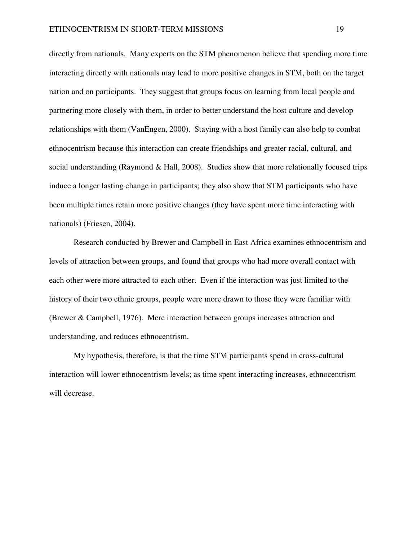directly from nationals. Many experts on the STM phenomenon believe that spending more time interacting directly with nationals may lead to more positive changes in STM, both on the target nation and on participants. They suggest that groups focus on learning from local people and partnering more closely with them, in order to better understand the host culture and develop relationships with them (VanEngen, 2000). Staying with a host family can also help to combat ethnocentrism because this interaction can create friendships and greater racial, cultural, and social understanding (Raymond & Hall, 2008). Studies show that more relationally focused trips induce a longer lasting change in participants; they also show that STM participants who have been multiple times retain more positive changes (they have spent more time interacting with nationals) (Friesen, 2004).

Research conducted by Brewer and Campbell in East Africa examines ethnocentrism and levels of attraction between groups, and found that groups who had more overall contact with each other were more attracted to each other. Even if the interaction was just limited to the history of their two ethnic groups, people were more drawn to those they were familiar with (Brewer & Campbell, 1976). Mere interaction between groups increases attraction and understanding, and reduces ethnocentrism.

My hypothesis, therefore, is that the time STM participants spend in cross-cultural interaction will lower ethnocentrism levels; as time spent interacting increases, ethnocentrism will decrease.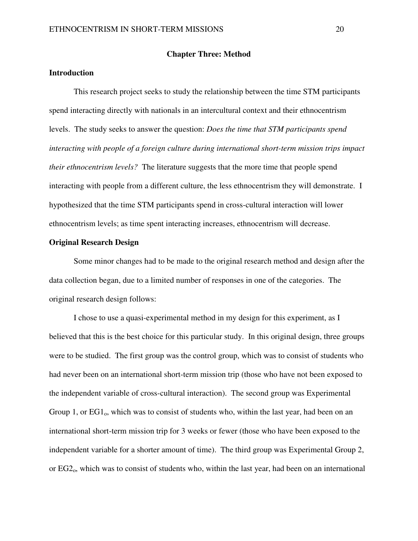#### **Chapter Three: Method**

## **Introduction**

This research project seeks to study the relationship between the time STM participants spend interacting directly with nationals in an intercultural context and their ethnocentrism levels. The study seeks to answer the question: *Does the time that STM participants spend interacting with people of a foreign culture during international short-term mission trips impact their ethnocentrism levels?* The literature suggests that the more time that people spend interacting with people from a different culture, the less ethnocentrism they will demonstrate. I hypothesized that the time STM participants spend in cross-cultural interaction will lower ethnocentrism levels; as time spent interacting increases, ethnocentrism will decrease.

#### **Original Research Design**

 Some minor changes had to be made to the original research method and design after the data collection began, due to a limited number of responses in one of the categories. The original research design follows:

I chose to use a quasi-experimental method in my design for this experiment, as I believed that this is the best choice for this particular study. In this original design, three groups were to be studied. The first group was the control group, which was to consist of students who had never been on an international short-term mission trip (those who have not been exposed to the independent variable of cross-cultural interaction). The second group was Experimental Group 1, or  $EG1_0$ , which was to consist of students who, within the last year, had been on an international short-term mission trip for 3 weeks or fewer (those who have been exposed to the independent variable for a shorter amount of time). The third group was Experimental Group 2, or  $EG2<sub>o</sub>$ , which was to consist of students who, within the last year, had been on an international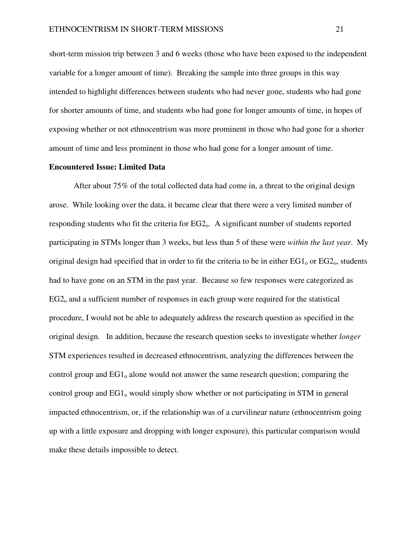short-term mission trip between 3 and 6 weeks (those who have been exposed to the independent variable for a longer amount of time). Breaking the sample into three groups in this way intended to highlight differences between students who had never gone, students who had gone for shorter amounts of time, and students who had gone for longer amounts of time, in hopes of exposing whether or not ethnocentrism was more prominent in those who had gone for a shorter amount of time and less prominent in those who had gone for a longer amount of time.

#### **Encountered Issue: Limited Data**

 After about 75% of the total collected data had come in, a threat to the original design arose. While looking over the data, it became clear that there were a very limited number of responding students who fit the criteria for  $EG2<sub>o</sub>$ . A significant number of students reported participating in STMs longer than 3 weeks, but less than 5 of these were *within the last year*. My original design had specified that in order to fit the criteria to be in either  $EG1_0$  or  $EG2_0$ , students had to have gone on an STM in the past year. Because so few responses were categorized as  $EG2<sub>o</sub>$  and a sufficient number of responses in each group were required for the statistical procedure, I would not be able to adequately address the research question as specified in the original design. In addition, because the research question seeks to investigate whether *longer* STM experiences resulted in decreased ethnocentrism, analyzing the differences between the control group and EG1<sub>0</sub> alone would not answer the same research question; comparing the control group and  $EG1_0$  would simply show whether or not participating in STM in general impacted ethnocentrism, or, if the relationship was of a curvilinear nature (ethnocentrism going up with a little exposure and dropping with longer exposure), this particular comparison would make these details impossible to detect.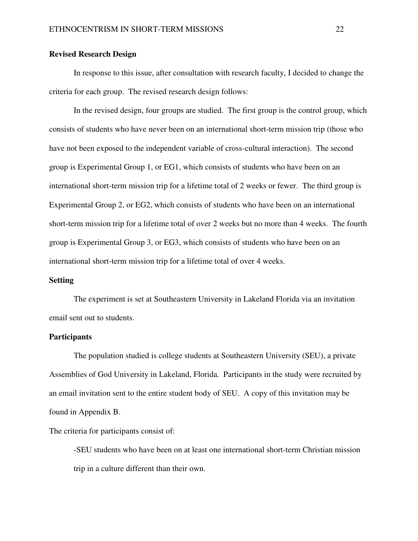#### **Revised Research Design**

In response to this issue, after consultation with research faculty, I decided to change the criteria for each group. The revised research design follows:

In the revised design, four groups are studied. The first group is the control group, which consists of students who have never been on an international short-term mission trip (those who have not been exposed to the independent variable of cross-cultural interaction). The second group is Experimental Group 1, or EG1, which consists of students who have been on an international short-term mission trip for a lifetime total of 2 weeks or fewer. The third group is Experimental Group 2, or EG2, which consists of students who have been on an international short-term mission trip for a lifetime total of over 2 weeks but no more than 4 weeks. The fourth group is Experimental Group 3, or EG3, which consists of students who have been on an international short-term mission trip for a lifetime total of over 4 weeks.

#### **Setting**

The experiment is set at Southeastern University in Lakeland Florida via an invitation email sent out to students.

#### **Participants**

 The population studied is college students at Southeastern University (SEU), a private Assemblies of God University in Lakeland, Florida. Participants in the study were recruited by an email invitation sent to the entire student body of SEU. A copy of this invitation may be found in Appendix B.

The criteria for participants consist of:

-SEU students who have been on at least one international short-term Christian mission trip in a culture different than their own.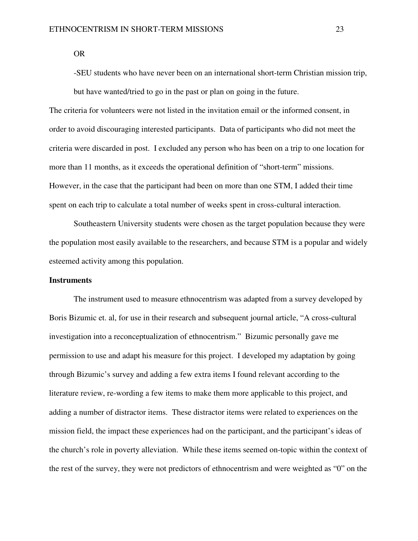OR

-SEU students who have never been on an international short-term Christian mission trip, but have wanted/tried to go in the past or plan on going in the future.

The criteria for volunteers were not listed in the invitation email or the informed consent, in order to avoid discouraging interested participants. Data of participants who did not meet the criteria were discarded in post. I excluded any person who has been on a trip to one location for more than 11 months, as it exceeds the operational definition of "short-term" missions. However, in the case that the participant had been on more than one STM, I added their time spent on each trip to calculate a total number of weeks spent in cross-cultural interaction.

 Southeastern University students were chosen as the target population because they were the population most easily available to the researchers, and because STM is a popular and widely esteemed activity among this population.

#### **Instruments**

 The instrument used to measure ethnocentrism was adapted from a survey developed by Boris Bizumic et. al, for use in their research and subsequent journal article, "A cross-cultural investigation into a reconceptualization of ethnocentrism." Bizumic personally gave me permission to use and adapt his measure for this project. I developed my adaptation by going through Bizumic's survey and adding a few extra items I found relevant according to the literature review, re-wording a few items to make them more applicable to this project, and adding a number of distractor items. These distractor items were related to experiences on the mission field, the impact these experiences had on the participant, and the participant's ideas of the church's role in poverty alleviation. While these items seemed on-topic within the context of the rest of the survey, they were not predictors of ethnocentrism and were weighted as "0" on the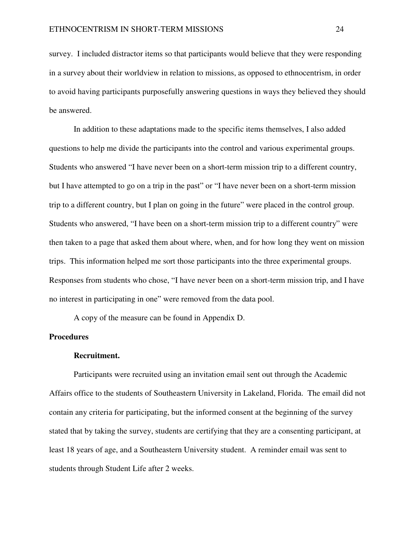survey. I included distractor items so that participants would believe that they were responding in a survey about their worldview in relation to missions, as opposed to ethnocentrism, in order to avoid having participants purposefully answering questions in ways they believed they should be answered.

In addition to these adaptations made to the specific items themselves, I also added questions to help me divide the participants into the control and various experimental groups. Students who answered "I have never been on a short-term mission trip to a different country, but I have attempted to go on a trip in the past" or "I have never been on a short-term mission trip to a different country, but I plan on going in the future" were placed in the control group. Students who answered, "I have been on a short-term mission trip to a different country" were then taken to a page that asked them about where, when, and for how long they went on mission trips. This information helped me sort those participants into the three experimental groups. Responses from students who chose, "I have never been on a short-term mission trip, and I have no interest in participating in one" were removed from the data pool.

A copy of the measure can be found in Appendix D.

#### **Procedures**

#### **Recruitment.**

Participants were recruited using an invitation email sent out through the Academic Affairs office to the students of Southeastern University in Lakeland, Florida. The email did not contain any criteria for participating, but the informed consent at the beginning of the survey stated that by taking the survey, students are certifying that they are a consenting participant, at least 18 years of age, and a Southeastern University student. A reminder email was sent to students through Student Life after 2 weeks.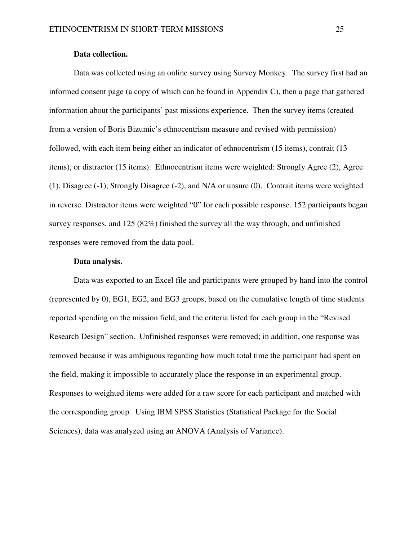#### **Data collection.**

Data was collected using an online survey using Survey Monkey. The survey first had an informed consent page (a copy of which can be found in Appendix C), then a page that gathered information about the participants' past missions experience. Then the survey items (created from a version of Boris Bizumic's ethnocentrism measure and revised with permission) followed, with each item being either an indicator of ethnocentrism (15 items), contrait (13 items), or distractor (15 items). Ethnocentrism items were weighted: Strongly Agree (2), Agree (1), Disagree (-1), Strongly Disagree (-2), and N/A or unsure (0). Contrait items were weighted in reverse. Distractor items were weighted "0" for each possible response. 152 participants began survey responses, and 125 (82%) finished the survey all the way through, and unfinished responses were removed from the data pool.

#### **Data analysis.**

Data was exported to an Excel file and participants were grouped by hand into the control (represented by 0), EG1, EG2, and EG3 groups, based on the cumulative length of time students reported spending on the mission field, and the criteria listed for each group in the "Revised Research Design" section. Unfinished responses were removed; in addition, one response was removed because it was ambiguous regarding how much total time the participant had spent on the field, making it impossible to accurately place the response in an experimental group. Responses to weighted items were added for a raw score for each participant and matched with the corresponding group. Using IBM SPSS Statistics (Statistical Package for the Social Sciences), data was analyzed using an ANOVA (Analysis of Variance).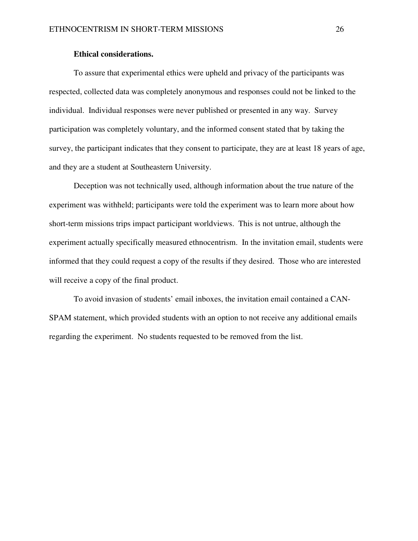#### **Ethical considerations.**

 To assure that experimental ethics were upheld and privacy of the participants was respected, collected data was completely anonymous and responses could not be linked to the individual. Individual responses were never published or presented in any way. Survey participation was completely voluntary, and the informed consent stated that by taking the survey, the participant indicates that they consent to participate, they are at least 18 years of age, and they are a student at Southeastern University.

Deception was not technically used, although information about the true nature of the experiment was withheld; participants were told the experiment was to learn more about how short-term missions trips impact participant worldviews. This is not untrue, although the experiment actually specifically measured ethnocentrism. In the invitation email, students were informed that they could request a copy of the results if they desired. Those who are interested will receive a copy of the final product.

To avoid invasion of students' email inboxes, the invitation email contained a CAN-SPAM statement, which provided students with an option to not receive any additional emails regarding the experiment. No students requested to be removed from the list.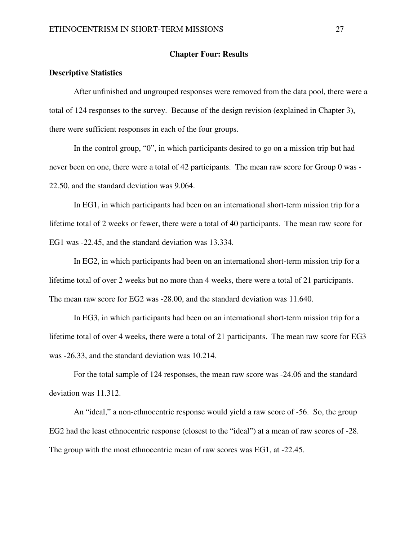#### **Chapter Four: Results**

#### **Descriptive Statistics**

After unfinished and ungrouped responses were removed from the data pool, there were a total of 124 responses to the survey. Because of the design revision (explained in Chapter 3), there were sufficient responses in each of the four groups.

In the control group, "0", in which participants desired to go on a mission trip but had never been on one, there were a total of 42 participants. The mean raw score for Group 0 was - 22.50, and the standard deviation was 9.064.

In EG1, in which participants had been on an international short-term mission trip for a lifetime total of 2 weeks or fewer, there were a total of 40 participants. The mean raw score for EG1 was -22.45, and the standard deviation was 13.334.

In EG2, in which participants had been on an international short-term mission trip for a lifetime total of over 2 weeks but no more than 4 weeks, there were a total of 21 participants. The mean raw score for EG2 was -28.00, and the standard deviation was 11.640.

In EG3, in which participants had been on an international short-term mission trip for a lifetime total of over 4 weeks, there were a total of 21 participants. The mean raw score for EG3 was -26.33, and the standard deviation was 10.214.

For the total sample of 124 responses, the mean raw score was -24.06 and the standard deviation was 11.312.

 An "ideal," a non-ethnocentric response would yield a raw score of -56. So, the group EG2 had the least ethnocentric response (closest to the "ideal") at a mean of raw scores of -28. The group with the most ethnocentric mean of raw scores was EG1, at -22.45.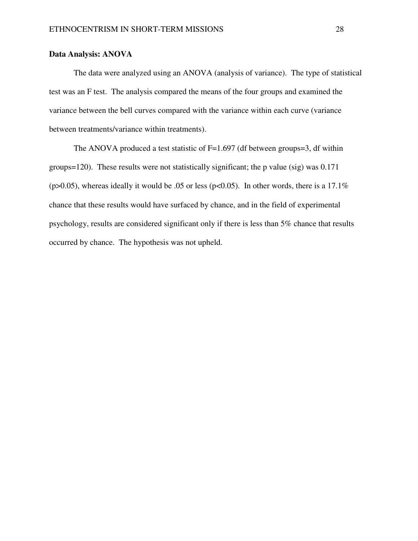## **Data Analysis: ANOVA**

 The data were analyzed using an ANOVA (analysis of variance). The type of statistical test was an F test. The analysis compared the means of the four groups and examined the variance between the bell curves compared with the variance within each curve (variance between treatments/variance within treatments).

The ANOVA produced a test statistic of  $F=1.697$  (df between groups=3, df within groups=120). These results were not statistically significant; the p value (sig) was 0.171 (p>0.05), whereas ideally it would be .05 or less (p<0.05). In other words, there is a 17.1% chance that these results would have surfaced by chance, and in the field of experimental psychology, results are considered significant only if there is less than 5% chance that results occurred by chance. The hypothesis was not upheld.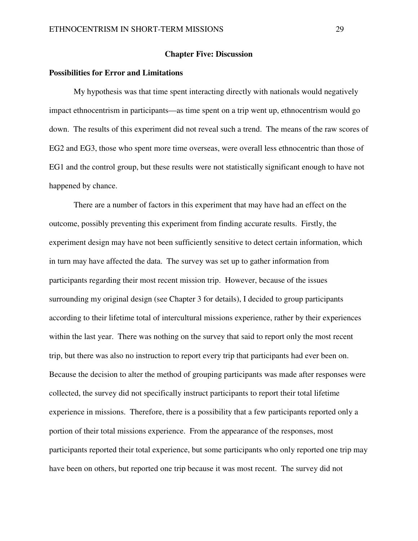#### **Chapter Five: Discussion**

## **Possibilities for Error and Limitations**

My hypothesis was that time spent interacting directly with nationals would negatively impact ethnocentrism in participants—as time spent on a trip went up, ethnocentrism would go down. The results of this experiment did not reveal such a trend. The means of the raw scores of EG2 and EG3, those who spent more time overseas, were overall less ethnocentric than those of EG1 and the control group, but these results were not statistically significant enough to have not happened by chance.

 There are a number of factors in this experiment that may have had an effect on the outcome, possibly preventing this experiment from finding accurate results. Firstly, the experiment design may have not been sufficiently sensitive to detect certain information, which in turn may have affected the data. The survey was set up to gather information from participants regarding their most recent mission trip. However, because of the issues surrounding my original design (see Chapter 3 for details), I decided to group participants according to their lifetime total of intercultural missions experience, rather by their experiences within the last year. There was nothing on the survey that said to report only the most recent trip, but there was also no instruction to report every trip that participants had ever been on. Because the decision to alter the method of grouping participants was made after responses were collected, the survey did not specifically instruct participants to report their total lifetime experience in missions. Therefore, there is a possibility that a few participants reported only a portion of their total missions experience. From the appearance of the responses, most participants reported their total experience, but some participants who only reported one trip may have been on others, but reported one trip because it was most recent. The survey did not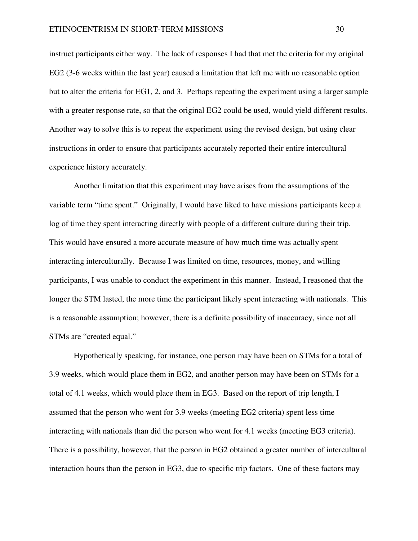instruct participants either way. The lack of responses I had that met the criteria for my original EG2 (3-6 weeks within the last year) caused a limitation that left me with no reasonable option but to alter the criteria for EG1, 2, and 3. Perhaps repeating the experiment using a larger sample with a greater response rate, so that the original EG2 could be used, would yield different results. Another way to solve this is to repeat the experiment using the revised design, but using clear instructions in order to ensure that participants accurately reported their entire intercultural experience history accurately.

 Another limitation that this experiment may have arises from the assumptions of the variable term "time spent." Originally, I would have liked to have missions participants keep a log of time they spent interacting directly with people of a different culture during their trip. This would have ensured a more accurate measure of how much time was actually spent interacting interculturally. Because I was limited on time, resources, money, and willing participants, I was unable to conduct the experiment in this manner. Instead, I reasoned that the longer the STM lasted, the more time the participant likely spent interacting with nationals. This is a reasonable assumption; however, there is a definite possibility of inaccuracy, since not all STMs are "created equal."

Hypothetically speaking, for instance, one person may have been on STMs for a total of 3.9 weeks, which would place them in EG2, and another person may have been on STMs for a total of 4.1 weeks, which would place them in EG3. Based on the report of trip length, I assumed that the person who went for 3.9 weeks (meeting EG2 criteria) spent less time interacting with nationals than did the person who went for 4.1 weeks (meeting EG3 criteria). There is a possibility, however, that the person in EG2 obtained a greater number of intercultural interaction hours than the person in EG3, due to specific trip factors. One of these factors may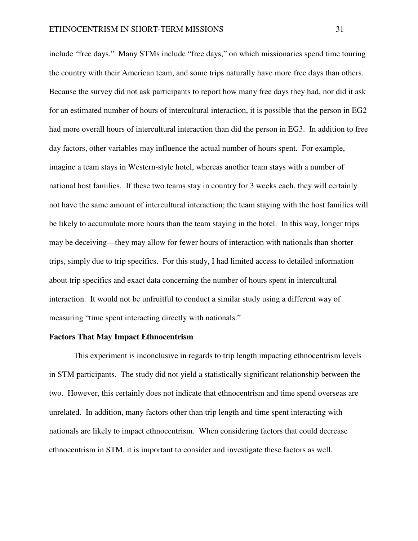include "free days." Many STMs include "free days," on which missionaries spend time touring the country with their American team, and some trips naturally have more free days than others. Because the survey did not ask participants to report how many free days they had, nor did it ask for an estimated number of hours of intercultural interaction, it is possible that the person in EG2 had more overall hours of intercultural interaction than did the person in EG3. In addition to free day factors, other variables may influence the actual number of hours spent. For example, imagine a team stays in Western-style hotel, whereas another team stays with a number of national host families. If these two teams stay in country for 3 weeks each, they will certainly not have the same amount of intercultural interaction; the team staying with the host families will be likely to accumulate more hours than the team staying in the hotel. In this way, longer trips may be deceiving—they may allow for fewer hours of interaction with nationals than shorter trips, simply due to trip specifics. For this study, I had limited access to detailed information about trip specifics and exact data concerning the number of hours spent in intercultural interaction. It would not be unfruitful to conduct a similar study using a different way of measuring "time spent interacting directly with nationals."

# **Factors That May Impact Ethnocentrism**

 This experiment is inconclusive in regards to trip length impacting ethnocentrism levels in STM participants. The study did not yield a statistically significant relationship between the two. However, this certainly does not indicate that ethnocentrism and time spend overseas are unrelated. In addition, many factors other than trip length and time spent interacting with nationals are likely to impact ethnocentrism. When considering factors that could decrease ethnocentrism in STM, it is important to consider and investigate these factors as well.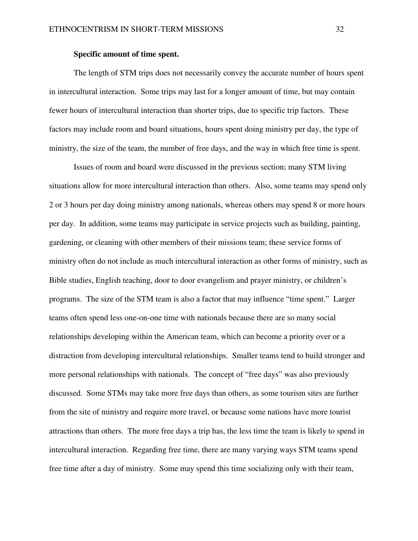# **Specific amount of time spent.**

 The length of STM trips does not necessarily convey the accurate number of hours spent in intercultural interaction. Some trips may last for a longer amount of time, but may contain fewer hours of intercultural interaction than shorter trips, due to specific trip factors. These factors may include room and board situations, hours spent doing ministry per day, the type of ministry, the size of the team, the number of free days, and the way in which free time is spent.

Issues of room and board were discussed in the previous section; many STM living situations allow for more intercultural interaction than others. Also, some teams may spend only 2 or 3 hours per day doing ministry among nationals, whereas others may spend 8 or more hours per day. In addition, some teams may participate in service projects such as building, painting, gardening, or cleaning with other members of their missions team; these service forms of ministry often do not include as much intercultural interaction as other forms of ministry, such as Bible studies, English teaching, door to door evangelism and prayer ministry, or children's programs. The size of the STM team is also a factor that may influence "time spent." Larger teams often spend less one-on-one time with nationals because there are so many social relationships developing within the American team, which can become a priority over or a distraction from developing intercultural relationships. Smaller teams tend to build stronger and more personal relationships with nationals. The concept of "free days" was also previously discussed. Some STMs may take more free days than others, as some tourism sites are further from the site of ministry and require more travel, or because some nations have more tourist attractions than others. The more free days a trip has, the less time the team is likely to spend in intercultural interaction. Regarding free time, there are many varying ways STM teams spend free time after a day of ministry. Some may spend this time socializing only with their team,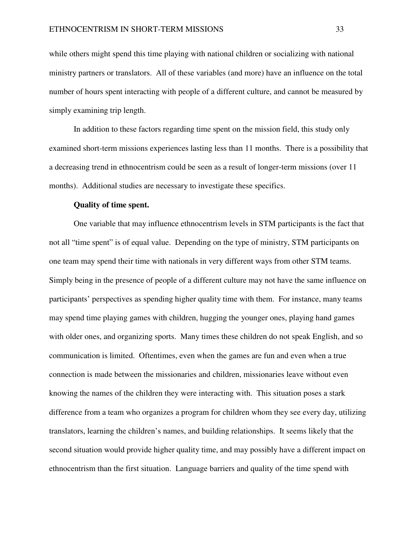while others might spend this time playing with national children or socializing with national ministry partners or translators. All of these variables (and more) have an influence on the total number of hours spent interacting with people of a different culture, and cannot be measured by simply examining trip length.

In addition to these factors regarding time spent on the mission field, this study only examined short-term missions experiences lasting less than 11 months. There is a possibility that a decreasing trend in ethnocentrism could be seen as a result of longer-term missions (over 11 months). Additional studies are necessary to investigate these specifics.

#### **Quality of time spent.**

 One variable that may influence ethnocentrism levels in STM participants is the fact that not all "time spent" is of equal value. Depending on the type of ministry, STM participants on one team may spend their time with nationals in very different ways from other STM teams. Simply being in the presence of people of a different culture may not have the same influence on participants' perspectives as spending higher quality time with them. For instance, many teams may spend time playing games with children, hugging the younger ones, playing hand games with older ones, and organizing sports. Many times these children do not speak English, and so communication is limited. Oftentimes, even when the games are fun and even when a true connection is made between the missionaries and children, missionaries leave without even knowing the names of the children they were interacting with. This situation poses a stark difference from a team who organizes a program for children whom they see every day, utilizing translators, learning the children's names, and building relationships. It seems likely that the second situation would provide higher quality time, and may possibly have a different impact on ethnocentrism than the first situation. Language barriers and quality of the time spend with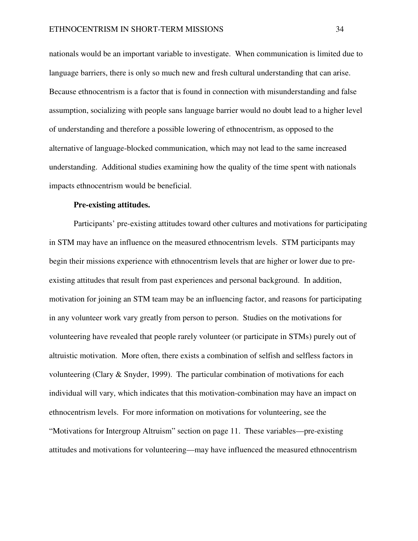nationals would be an important variable to investigate. When communication is limited due to language barriers, there is only so much new and fresh cultural understanding that can arise. Because ethnocentrism is a factor that is found in connection with misunderstanding and false assumption, socializing with people sans language barrier would no doubt lead to a higher level of understanding and therefore a possible lowering of ethnocentrism, as opposed to the alternative of language-blocked communication, which may not lead to the same increased understanding. Additional studies examining how the quality of the time spent with nationals impacts ethnocentrism would be beneficial.

# **Pre-existing attitudes.**

 Participants' pre-existing attitudes toward other cultures and motivations for participating in STM may have an influence on the measured ethnocentrism levels. STM participants may begin their missions experience with ethnocentrism levels that are higher or lower due to preexisting attitudes that result from past experiences and personal background. In addition, motivation for joining an STM team may be an influencing factor, and reasons for participating in any volunteer work vary greatly from person to person. Studies on the motivations for volunteering have revealed that people rarely volunteer (or participate in STMs) purely out of altruistic motivation. More often, there exists a combination of selfish and selfless factors in volunteering (Clary & Snyder, 1999). The particular combination of motivations for each individual will vary, which indicates that this motivation-combination may have an impact on ethnocentrism levels. For more information on motivations for volunteering, see the "Motivations for Intergroup Altruism" section on page 11. These variables—pre-existing attitudes and motivations for volunteering—may have influenced the measured ethnocentrism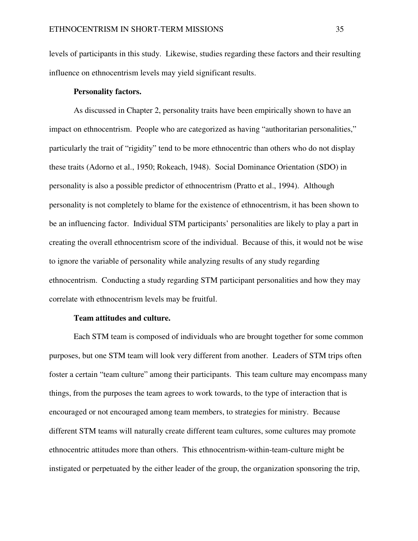levels of participants in this study. Likewise, studies regarding these factors and their resulting influence on ethnocentrism levels may yield significant results.

# **Personality factors.**

 As discussed in Chapter 2, personality traits have been empirically shown to have an impact on ethnocentrism. People who are categorized as having "authoritarian personalities," particularly the trait of "rigidity" tend to be more ethnocentric than others who do not display these traits (Adorno et al., 1950; Rokeach, 1948). Social Dominance Orientation (SDO) in personality is also a possible predictor of ethnocentrism (Pratto et al., 1994). Although personality is not completely to blame for the existence of ethnocentrism, it has been shown to be an influencing factor. Individual STM participants' personalities are likely to play a part in creating the overall ethnocentrism score of the individual. Because of this, it would not be wise to ignore the variable of personality while analyzing results of any study regarding ethnocentrism. Conducting a study regarding STM participant personalities and how they may correlate with ethnocentrism levels may be fruitful.

# **Team attitudes and culture.**

 Each STM team is composed of individuals who are brought together for some common purposes, but one STM team will look very different from another. Leaders of STM trips often foster a certain "team culture" among their participants. This team culture may encompass many things, from the purposes the team agrees to work towards, to the type of interaction that is encouraged or not encouraged among team members, to strategies for ministry. Because different STM teams will naturally create different team cultures, some cultures may promote ethnocentric attitudes more than others. This ethnocentrism-within-team-culture might be instigated or perpetuated by the either leader of the group, the organization sponsoring the trip,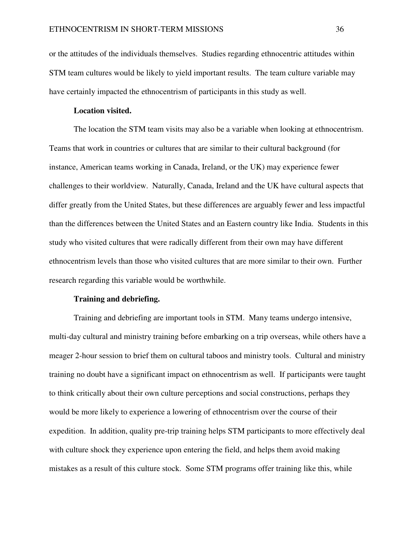or the attitudes of the individuals themselves. Studies regarding ethnocentric attitudes within STM team cultures would be likely to yield important results. The team culture variable may have certainly impacted the ethnocentrism of participants in this study as well.

# **Location visited.**

 The location the STM team visits may also be a variable when looking at ethnocentrism. Teams that work in countries or cultures that are similar to their cultural background (for instance, American teams working in Canada, Ireland, or the UK) may experience fewer challenges to their worldview. Naturally, Canada, Ireland and the UK have cultural aspects that differ greatly from the United States, but these differences are arguably fewer and less impactful than the differences between the United States and an Eastern country like India. Students in this study who visited cultures that were radically different from their own may have different ethnocentrism levels than those who visited cultures that are more similar to their own. Further research regarding this variable would be worthwhile.

### **Training and debriefing.**

 Training and debriefing are important tools in STM. Many teams undergo intensive, multi-day cultural and ministry training before embarking on a trip overseas, while others have a meager 2-hour session to brief them on cultural taboos and ministry tools. Cultural and ministry training no doubt have a significant impact on ethnocentrism as well. If participants were taught to think critically about their own culture perceptions and social constructions, perhaps they would be more likely to experience a lowering of ethnocentrism over the course of their expedition. In addition, quality pre-trip training helps STM participants to more effectively deal with culture shock they experience upon entering the field, and helps them avoid making mistakes as a result of this culture stock. Some STM programs offer training like this, while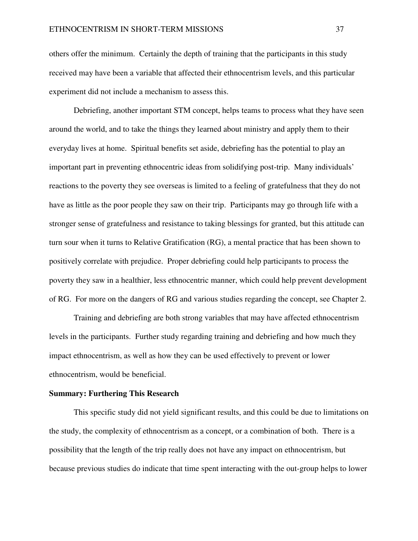others offer the minimum. Certainly the depth of training that the participants in this study received may have been a variable that affected their ethnocentrism levels, and this particular experiment did not include a mechanism to assess this.

 Debriefing, another important STM concept, helps teams to process what they have seen around the world, and to take the things they learned about ministry and apply them to their everyday lives at home. Spiritual benefits set aside, debriefing has the potential to play an important part in preventing ethnocentric ideas from solidifying post-trip. Many individuals' reactions to the poverty they see overseas is limited to a feeling of gratefulness that they do not have as little as the poor people they saw on their trip. Participants may go through life with a stronger sense of gratefulness and resistance to taking blessings for granted, but this attitude can turn sour when it turns to Relative Gratification (RG), a mental practice that has been shown to positively correlate with prejudice. Proper debriefing could help participants to process the poverty they saw in a healthier, less ethnocentric manner, which could help prevent development of RG. For more on the dangers of RG and various studies regarding the concept, see Chapter 2.

 Training and debriefing are both strong variables that may have affected ethnocentrism levels in the participants. Further study regarding training and debriefing and how much they impact ethnocentrism, as well as how they can be used effectively to prevent or lower ethnocentrism, would be beneficial.

# **Summary: Furthering This Research**

 This specific study did not yield significant results, and this could be due to limitations on the study, the complexity of ethnocentrism as a concept, or a combination of both. There is a possibility that the length of the trip really does not have any impact on ethnocentrism, but because previous studies do indicate that time spent interacting with the out-group helps to lower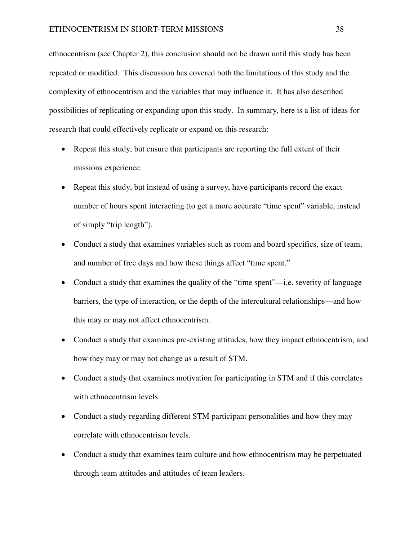ethnocentrism (see Chapter 2), this conclusion should not be drawn until this study has been repeated or modified. This discussion has covered both the limitations of this study and the complexity of ethnocentrism and the variables that may influence it. It has also described possibilities of replicating or expanding upon this study. In summary, here is a list of ideas for research that could effectively replicate or expand on this research:

- Repeat this study, but ensure that participants are reporting the full extent of their missions experience.
- Repeat this study, but instead of using a survey, have participants record the exact number of hours spent interacting (to get a more accurate "time spent" variable, instead of simply "trip length").
- Conduct a study that examines variables such as room and board specifics, size of team, and number of free days and how these things affect "time spent."
- Conduct a study that examines the quality of the "time spent"—i.e. severity of language barriers, the type of interaction, or the depth of the intercultural relationships—and how this may or may not affect ethnocentrism.
- Conduct a study that examines pre-existing attitudes, how they impact ethnocentrism, and how they may or may not change as a result of STM.
- Conduct a study that examines motivation for participating in STM and if this correlates with ethnocentrism levels.
- Conduct a study regarding different STM participant personalities and how they may correlate with ethnocentrism levels.
- Conduct a study that examines team culture and how ethnocentrism may be perpetuated through team attitudes and attitudes of team leaders.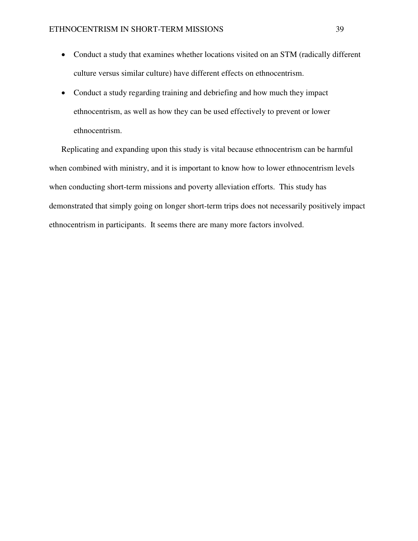- Conduct a study that examines whether locations visited on an STM (radically different culture versus similar culture) have different effects on ethnocentrism.
- Conduct a study regarding training and debriefing and how much they impact ethnocentrism, as well as how they can be used effectively to prevent or lower ethnocentrism.

Replicating and expanding upon this study is vital because ethnocentrism can be harmful when combined with ministry, and it is important to know how to lower ethnocentrism levels when conducting short-term missions and poverty alleviation efforts. This study has demonstrated that simply going on longer short-term trips does not necessarily positively impact ethnocentrism in participants. It seems there are many more factors involved.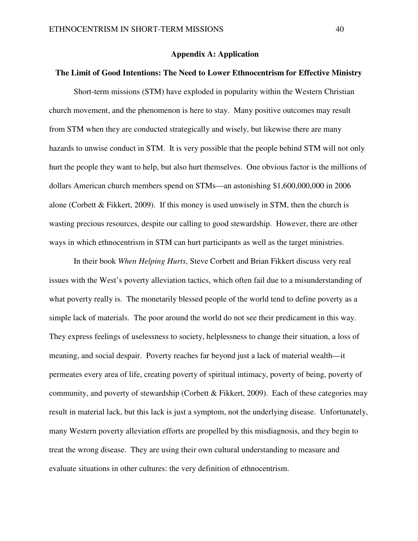#### **Appendix A: Application**

# **The Limit of Good Intentions: The Need to Lower Ethnocentrism for Effective Ministry**

 Short-term missions (STM) have exploded in popularity within the Western Christian church movement, and the phenomenon is here to stay. Many positive outcomes may result from STM when they are conducted strategically and wisely, but likewise there are many hazards to unwise conduct in STM. It is very possible that the people behind STM will not only hurt the people they want to help, but also hurt themselves. One obvious factor is the millions of dollars American church members spend on STMs—an astonishing \$1,600,000,000 in 2006 alone (Corbett & Fikkert, 2009). If this money is used unwisely in STM, then the church is wasting precious resources, despite our calling to good stewardship. However, there are other ways in which ethnocentrism in STM can hurt participants as well as the target ministries.

 In their book *When Helping Hurts*, Steve Corbett and Brian Fikkert discuss very real issues with the West's poverty alleviation tactics, which often fail due to a misunderstanding of what poverty really is. The monetarily blessed people of the world tend to define poverty as a simple lack of materials. The poor around the world do not see their predicament in this way. They express feelings of uselessness to society, helplessness to change their situation, a loss of meaning, and social despair. Poverty reaches far beyond just a lack of material wealth—it permeates every area of life, creating poverty of spiritual intimacy, poverty of being, poverty of community, and poverty of stewardship (Corbett & Fikkert, 2009). Each of these categories may result in material lack, but this lack is just a symptom, not the underlying disease. Unfortunately, many Western poverty alleviation efforts are propelled by this misdiagnosis, and they begin to treat the wrong disease. They are using their own cultural understanding to measure and evaluate situations in other cultures: the very definition of ethnocentrism.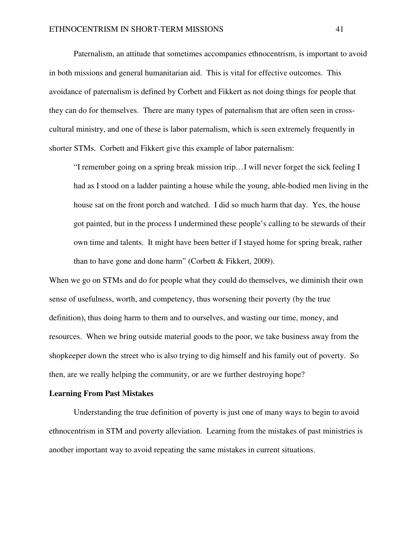Paternalism, an attitude that sometimes accompanies ethnocentrism, is important to avoid in both missions and general humanitarian aid. This is vital for effective outcomes. This avoidance of paternalism is defined by Corbett and Fikkert as not doing things for people that they can do for themselves. There are many types of paternalism that are often seen in crosscultural ministry, and one of these is labor paternalism, which is seen extremely frequently in shorter STMs. Corbett and Fikkert give this example of labor paternalism:

"I remember going on a spring break mission trip…I will never forget the sick feeling I had as I stood on a ladder painting a house while the young, able-bodied men living in the house sat on the front porch and watched. I did so much harm that day. Yes, the house got painted, but in the process I undermined these people's calling to be stewards of their own time and talents. It might have been better if I stayed home for spring break, rather than to have gone and done harm" (Corbett & Fikkert, 2009).

When we go on STMs and do for people what they could do themselves, we diminish their own sense of usefulness, worth, and competency, thus worsening their poverty (by the true definition), thus doing harm to them and to ourselves, and wasting our time, money, and resources. When we bring outside material goods to the poor, we take business away from the shopkeeper down the street who is also trying to dig himself and his family out of poverty. So then, are we really helping the community, or are we further destroying hope?

#### **Learning From Past Mistakes**

 Understanding the true definition of poverty is just one of many ways to begin to avoid ethnocentrism in STM and poverty alleviation. Learning from the mistakes of past ministries is another important way to avoid repeating the same mistakes in current situations.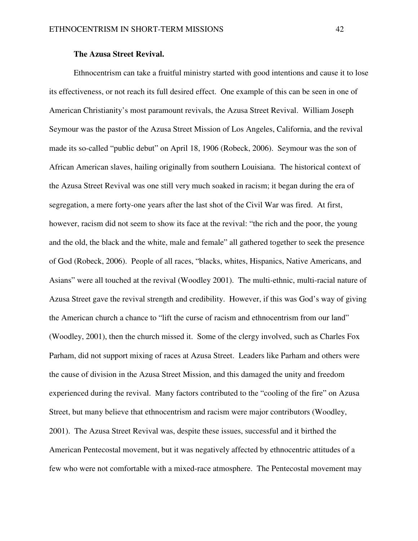# **The Azusa Street Revival.**

Ethnocentrism can take a fruitful ministry started with good intentions and cause it to lose its effectiveness, or not reach its full desired effect. One example of this can be seen in one of American Christianity's most paramount revivals, the Azusa Street Revival. William Joseph Seymour was the pastor of the Azusa Street Mission of Los Angeles, California, and the revival made its so-called "public debut" on April 18, 1906 (Robeck, 2006). Seymour was the son of African American slaves, hailing originally from southern Louisiana. The historical context of the Azusa Street Revival was one still very much soaked in racism; it began during the era of segregation, a mere forty-one years after the last shot of the Civil War was fired. At first, however, racism did not seem to show its face at the revival: "the rich and the poor, the young and the old, the black and the white, male and female" all gathered together to seek the presence of God (Robeck, 2006). People of all races, "blacks, whites, Hispanics, Native Americans, and Asians" were all touched at the revival (Woodley 2001). The multi-ethnic, multi-racial nature of Azusa Street gave the revival strength and credibility. However, if this was God's way of giving the American church a chance to "lift the curse of racism and ethnocentrism from our land" (Woodley, 2001), then the church missed it. Some of the clergy involved, such as Charles Fox Parham, did not support mixing of races at Azusa Street. Leaders like Parham and others were the cause of division in the Azusa Street Mission, and this damaged the unity and freedom experienced during the revival. Many factors contributed to the "cooling of the fire" on Azusa Street, but many believe that ethnocentrism and racism were major contributors (Woodley, 2001). The Azusa Street Revival was, despite these issues, successful and it birthed the American Pentecostal movement, but it was negatively affected by ethnocentric attitudes of a few who were not comfortable with a mixed-race atmosphere. The Pentecostal movement may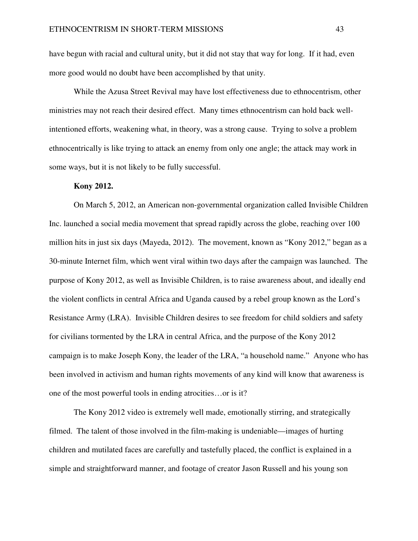have begun with racial and cultural unity, but it did not stay that way for long. If it had, even more good would no doubt have been accomplished by that unity.

 While the Azusa Street Revival may have lost effectiveness due to ethnocentrism, other ministries may not reach their desired effect. Many times ethnocentrism can hold back wellintentioned efforts, weakening what, in theory, was a strong cause. Trying to solve a problem ethnocentrically is like trying to attack an enemy from only one angle; the attack may work in some ways, but it is not likely to be fully successful.

### **Kony 2012.**

 On March 5, 2012, an American non-governmental organization called Invisible Children Inc. launched a social media movement that spread rapidly across the globe, reaching over 100 million hits in just six days (Mayeda, 2012). The movement, known as "Kony 2012," began as a 30-minute Internet film, which went viral within two days after the campaign was launched. The purpose of Kony 2012, as well as Invisible Children, is to raise awareness about, and ideally end the violent conflicts in central Africa and Uganda caused by a rebel group known as the Lord's Resistance Army (LRA). Invisible Children desires to see freedom for child soldiers and safety for civilians tormented by the LRA in central Africa, and the purpose of the Kony 2012 campaign is to make Joseph Kony, the leader of the LRA, "a household name." Anyone who has been involved in activism and human rights movements of any kind will know that awareness is one of the most powerful tools in ending atrocities…or is it?

 The Kony 2012 video is extremely well made, emotionally stirring, and strategically filmed. The talent of those involved in the film-making is undeniable—images of hurting children and mutilated faces are carefully and tastefully placed, the conflict is explained in a simple and straightforward manner, and footage of creator Jason Russell and his young son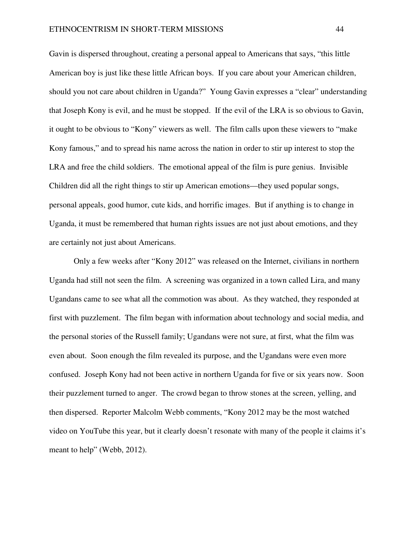Gavin is dispersed throughout, creating a personal appeal to Americans that says, "this little American boy is just like these little African boys. If you care about your American children, should you not care about children in Uganda?" Young Gavin expresses a "clear" understanding that Joseph Kony is evil, and he must be stopped. If the evil of the LRA is so obvious to Gavin, it ought to be obvious to "Kony" viewers as well. The film calls upon these viewers to "make Kony famous," and to spread his name across the nation in order to stir up interest to stop the LRA and free the child soldiers. The emotional appeal of the film is pure genius. Invisible Children did all the right things to stir up American emotions—they used popular songs, personal appeals, good humor, cute kids, and horrific images. But if anything is to change in Uganda, it must be remembered that human rights issues are not just about emotions, and they are certainly not just about Americans.

 Only a few weeks after "Kony 2012" was released on the Internet, civilians in northern Uganda had still not seen the film. A screening was organized in a town called Lira, and many Ugandans came to see what all the commotion was about. As they watched, they responded at first with puzzlement. The film began with information about technology and social media, and the personal stories of the Russell family; Ugandans were not sure, at first, what the film was even about. Soon enough the film revealed its purpose, and the Ugandans were even more confused. Joseph Kony had not been active in northern Uganda for five or six years now. Soon their puzzlement turned to anger. The crowd began to throw stones at the screen, yelling, and then dispersed. Reporter Malcolm Webb comments, "Kony 2012 may be the most watched video on YouTube this year, but it clearly doesn't resonate with many of the people it claims it's meant to help" (Webb, 2012).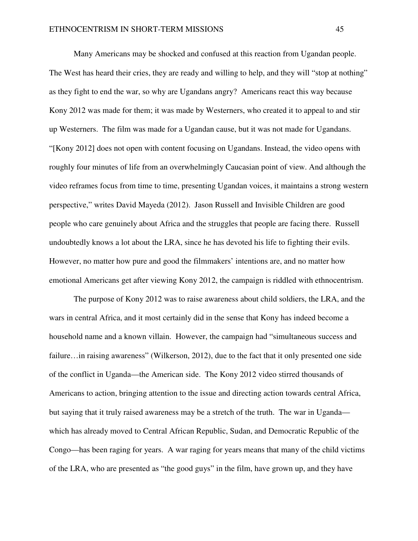Many Americans may be shocked and confused at this reaction from Ugandan people. The West has heard their cries, they are ready and willing to help, and they will "stop at nothing" as they fight to end the war, so why are Ugandans angry? Americans react this way because Kony 2012 was made for them; it was made by Westerners, who created it to appeal to and stir up Westerners. The film was made for a Ugandan cause, but it was not made for Ugandans. "[Kony 2012] does not open with content focusing on Ugandans. Instead, the video opens with roughly four minutes of life from an overwhelmingly Caucasian point of view. And although the video reframes focus from time to time, presenting Ugandan voices, it maintains a strong western perspective," writes David Mayeda (2012). Jason Russell and Invisible Children are good people who care genuinely about Africa and the struggles that people are facing there. Russell undoubtedly knows a lot about the LRA, since he has devoted his life to fighting their evils. However, no matter how pure and good the filmmakers' intentions are, and no matter how emotional Americans get after viewing Kony 2012, the campaign is riddled with ethnocentrism.

 The purpose of Kony 2012 was to raise awareness about child soldiers, the LRA, and the wars in central Africa, and it most certainly did in the sense that Kony has indeed become a household name and a known villain. However, the campaign had "simultaneous success and failure…in raising awareness" (Wilkerson, 2012), due to the fact that it only presented one side of the conflict in Uganda—the American side. The Kony 2012 video stirred thousands of Americans to action, bringing attention to the issue and directing action towards central Africa, but saying that it truly raised awareness may be a stretch of the truth. The war in Uganda which has already moved to Central African Republic, Sudan, and Democratic Republic of the Congo—has been raging for years. A war raging for years means that many of the child victims of the LRA, who are presented as "the good guys" in the film, have grown up, and they have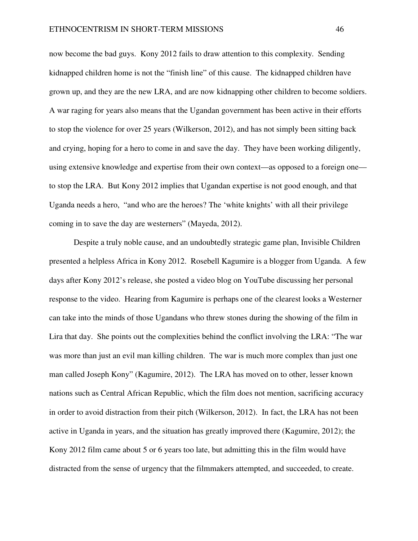now become the bad guys. Kony 2012 fails to draw attention to this complexity. Sending kidnapped children home is not the "finish line" of this cause. The kidnapped children have grown up, and they are the new LRA, and are now kidnapping other children to become soldiers. A war raging for years also means that the Ugandan government has been active in their efforts to stop the violence for over 25 years (Wilkerson, 2012), and has not simply been sitting back and crying, hoping for a hero to come in and save the day. They have been working diligently, using extensive knowledge and expertise from their own context—as opposed to a foreign one to stop the LRA. But Kony 2012 implies that Ugandan expertise is not good enough, and that Uganda needs a hero, "and who are the heroes? The 'white knights' with all their privilege coming in to save the day are westerners" (Mayeda, 2012).

Despite a truly noble cause, and an undoubtedly strategic game plan, Invisible Children presented a helpless Africa in Kony 2012. Rosebell Kagumire is a blogger from Uganda. A few days after Kony 2012's release, she posted a video blog on YouTube discussing her personal response to the video. Hearing from Kagumire is perhaps one of the clearest looks a Westerner can take into the minds of those Ugandans who threw stones during the showing of the film in Lira that day. She points out the complexities behind the conflict involving the LRA: "The war was more than just an evil man killing children. The war is much more complex than just one man called Joseph Kony" (Kagumire, 2012). The LRA has moved on to other, lesser known nations such as Central African Republic, which the film does not mention, sacrificing accuracy in order to avoid distraction from their pitch (Wilkerson, 2012). In fact, the LRA has not been active in Uganda in years, and the situation has greatly improved there (Kagumire, 2012); the Kony 2012 film came about 5 or 6 years too late, but admitting this in the film would have distracted from the sense of urgency that the filmmakers attempted, and succeeded, to create.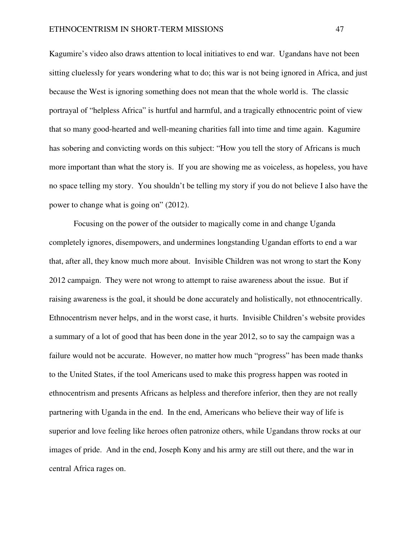Kagumire's video also draws attention to local initiatives to end war. Ugandans have not been sitting cluelessly for years wondering what to do; this war is not being ignored in Africa, and just because the West is ignoring something does not mean that the whole world is. The classic portrayal of "helpless Africa" is hurtful and harmful, and a tragically ethnocentric point of view that so many good-hearted and well-meaning charities fall into time and time again. Kagumire has sobering and convicting words on this subject: "How you tell the story of Africans is much more important than what the story is. If you are showing me as voiceless, as hopeless, you have no space telling my story. You shouldn't be telling my story if you do not believe I also have the power to change what is going on" (2012).

Focusing on the power of the outsider to magically come in and change Uganda completely ignores, disempowers, and undermines longstanding Ugandan efforts to end a war that, after all, they know much more about. Invisible Children was not wrong to start the Kony 2012 campaign. They were not wrong to attempt to raise awareness about the issue. But if raising awareness is the goal, it should be done accurately and holistically, not ethnocentrically. Ethnocentrism never helps, and in the worst case, it hurts. Invisible Children's website provides a summary of a lot of good that has been done in the year 2012, so to say the campaign was a failure would not be accurate. However, no matter how much "progress" has been made thanks to the United States, if the tool Americans used to make this progress happen was rooted in ethnocentrism and presents Africans as helpless and therefore inferior, then they are not really partnering with Uganda in the end. In the end, Americans who believe their way of life is superior and love feeling like heroes often patronize others, while Ugandans throw rocks at our images of pride. And in the end, Joseph Kony and his army are still out there, and the war in central Africa rages on.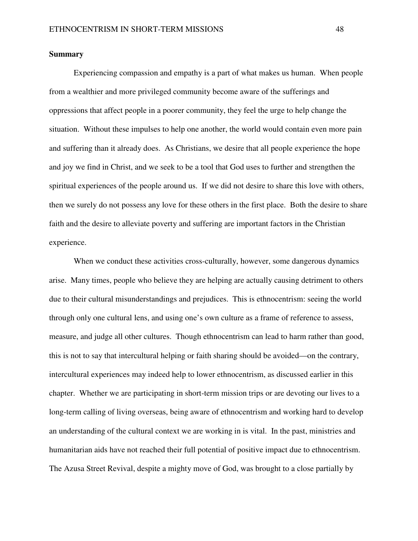# **Summary**

Experiencing compassion and empathy is a part of what makes us human. When people from a wealthier and more privileged community become aware of the sufferings and oppressions that affect people in a poorer community, they feel the urge to help change the situation. Without these impulses to help one another, the world would contain even more pain and suffering than it already does. As Christians, we desire that all people experience the hope and joy we find in Christ, and we seek to be a tool that God uses to further and strengthen the spiritual experiences of the people around us. If we did not desire to share this love with others, then we surely do not possess any love for these others in the first place. Both the desire to share faith and the desire to alleviate poverty and suffering are important factors in the Christian experience.

When we conduct these activities cross-culturally, however, some dangerous dynamics arise. Many times, people who believe they are helping are actually causing detriment to others due to their cultural misunderstandings and prejudices. This is ethnocentrism: seeing the world through only one cultural lens, and using one's own culture as a frame of reference to assess, measure, and judge all other cultures. Though ethnocentrism can lead to harm rather than good, this is not to say that intercultural helping or faith sharing should be avoided—on the contrary, intercultural experiences may indeed help to lower ethnocentrism, as discussed earlier in this chapter. Whether we are participating in short-term mission trips or are devoting our lives to a long-term calling of living overseas, being aware of ethnocentrism and working hard to develop an understanding of the cultural context we are working in is vital. In the past, ministries and humanitarian aids have not reached their full potential of positive impact due to ethnocentrism. The Azusa Street Revival, despite a mighty move of God, was brought to a close partially by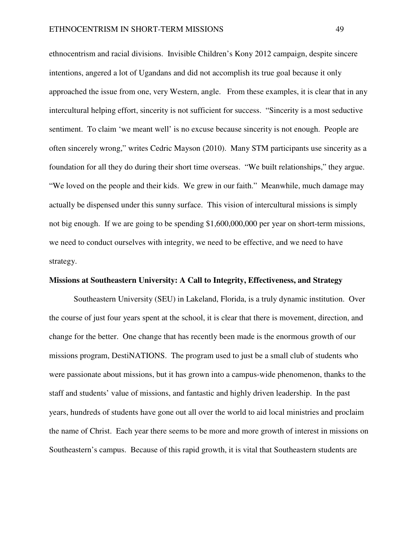ethnocentrism and racial divisions. Invisible Children's Kony 2012 campaign, despite sincere intentions, angered a lot of Ugandans and did not accomplish its true goal because it only approached the issue from one, very Western, angle. From these examples, it is clear that in any intercultural helping effort, sincerity is not sufficient for success. "Sincerity is a most seductive sentiment. To claim 'we meant well' is no excuse because sincerity is not enough. People are often sincerely wrong," writes Cedric Mayson (2010). Many STM participants use sincerity as a foundation for all they do during their short time overseas. "We built relationships," they argue. "We loved on the people and their kids. We grew in our faith." Meanwhile, much damage may actually be dispensed under this sunny surface. This vision of intercultural missions is simply not big enough. If we are going to be spending \$1,600,000,000 per year on short-term missions, we need to conduct ourselves with integrity, we need to be effective, and we need to have strategy.

### **Missions at Southeastern University: A Call to Integrity, Effectiveness, and Strategy**

 Southeastern University (SEU) in Lakeland, Florida, is a truly dynamic institution. Over the course of just four years spent at the school, it is clear that there is movement, direction, and change for the better. One change that has recently been made is the enormous growth of our missions program, DestiNATIONS. The program used to just be a small club of students who were passionate about missions, but it has grown into a campus-wide phenomenon, thanks to the staff and students' value of missions, and fantastic and highly driven leadership. In the past years, hundreds of students have gone out all over the world to aid local ministries and proclaim the name of Christ. Each year there seems to be more and more growth of interest in missions on Southeastern's campus. Because of this rapid growth, it is vital that Southeastern students are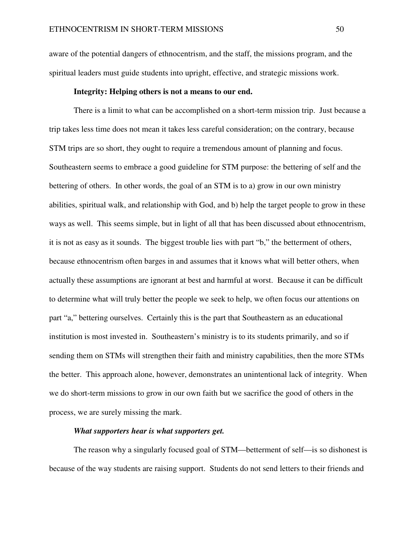aware of the potential dangers of ethnocentrism, and the staff, the missions program, and the spiritual leaders must guide students into upright, effective, and strategic missions work.

### **Integrity: Helping others is not a means to our end.**

There is a limit to what can be accomplished on a short-term mission trip. Just because a trip takes less time does not mean it takes less careful consideration; on the contrary, because STM trips are so short, they ought to require a tremendous amount of planning and focus. Southeastern seems to embrace a good guideline for STM purpose: the bettering of self and the bettering of others. In other words, the goal of an STM is to a) grow in our own ministry abilities, spiritual walk, and relationship with God, and b) help the target people to grow in these ways as well. This seems simple, but in light of all that has been discussed about ethnocentrism, it is not as easy as it sounds. The biggest trouble lies with part "b," the betterment of others, because ethnocentrism often barges in and assumes that it knows what will better others, when actually these assumptions are ignorant at best and harmful at worst. Because it can be difficult to determine what will truly better the people we seek to help, we often focus our attentions on part "a," bettering ourselves. Certainly this is the part that Southeastern as an educational institution is most invested in. Southeastern's ministry is to its students primarily, and so if sending them on STMs will strengthen their faith and ministry capabilities, then the more STMs the better. This approach alone, however, demonstrates an unintentional lack of integrity. When we do short-term missions to grow in our own faith but we sacrifice the good of others in the process, we are surely missing the mark.

# *What supporters hear is what supporters get.*

The reason why a singularly focused goal of STM—betterment of self—is so dishonest is because of the way students are raising support. Students do not send letters to their friends and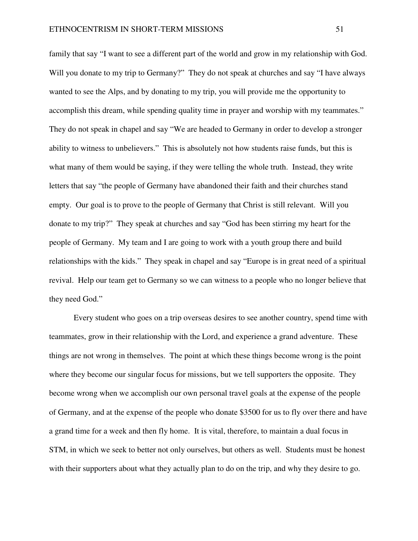family that say "I want to see a different part of the world and grow in my relationship with God. Will you donate to my trip to Germany?" They do not speak at churches and say "I have always wanted to see the Alps, and by donating to my trip, you will provide me the opportunity to accomplish this dream, while spending quality time in prayer and worship with my teammates." They do not speak in chapel and say "We are headed to Germany in order to develop a stronger ability to witness to unbelievers." This is absolutely not how students raise funds, but this is what many of them would be saying, if they were telling the whole truth. Instead, they write letters that say "the people of Germany have abandoned their faith and their churches stand empty. Our goal is to prove to the people of Germany that Christ is still relevant. Will you donate to my trip?" They speak at churches and say "God has been stirring my heart for the people of Germany. My team and I are going to work with a youth group there and build relationships with the kids." They speak in chapel and say "Europe is in great need of a spiritual revival. Help our team get to Germany so we can witness to a people who no longer believe that they need God."

Every student who goes on a trip overseas desires to see another country, spend time with teammates, grow in their relationship with the Lord, and experience a grand adventure. These things are not wrong in themselves. The point at which these things become wrong is the point where they become our singular focus for missions, but we tell supporters the opposite. They become wrong when we accomplish our own personal travel goals at the expense of the people of Germany, and at the expense of the people who donate \$3500 for us to fly over there and have a grand time for a week and then fly home. It is vital, therefore, to maintain a dual focus in STM, in which we seek to better not only ourselves, but others as well. Students must be honest with their supporters about what they actually plan to do on the trip, and why they desire to go.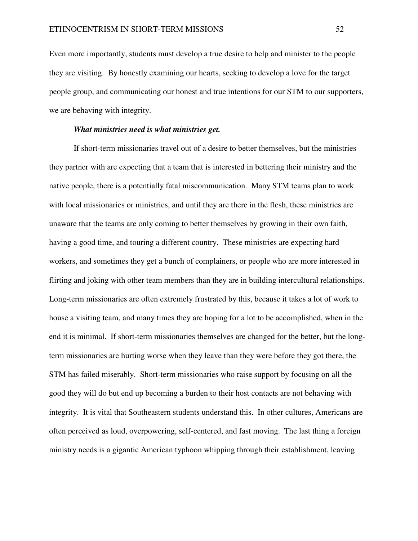Even more importantly, students must develop a true desire to help and minister to the people they are visiting. By honestly examining our hearts, seeking to develop a love for the target people group, and communicating our honest and true intentions for our STM to our supporters, we are behaving with integrity.

# *What ministries need is what ministries get.*

If short-term missionaries travel out of a desire to better themselves, but the ministries they partner with are expecting that a team that is interested in bettering their ministry and the native people, there is a potentially fatal miscommunication. Many STM teams plan to work with local missionaries or ministries, and until they are there in the flesh, these ministries are unaware that the teams are only coming to better themselves by growing in their own faith, having a good time, and touring a different country. These ministries are expecting hard workers, and sometimes they get a bunch of complainers, or people who are more interested in flirting and joking with other team members than they are in building intercultural relationships. Long-term missionaries are often extremely frustrated by this, because it takes a lot of work to house a visiting team, and many times they are hoping for a lot to be accomplished, when in the end it is minimal. If short-term missionaries themselves are changed for the better, but the longterm missionaries are hurting worse when they leave than they were before they got there, the STM has failed miserably. Short-term missionaries who raise support by focusing on all the good they will do but end up becoming a burden to their host contacts are not behaving with integrity. It is vital that Southeastern students understand this. In other cultures, Americans are often perceived as loud, overpowering, self-centered, and fast moving. The last thing a foreign ministry needs is a gigantic American typhoon whipping through their establishment, leaving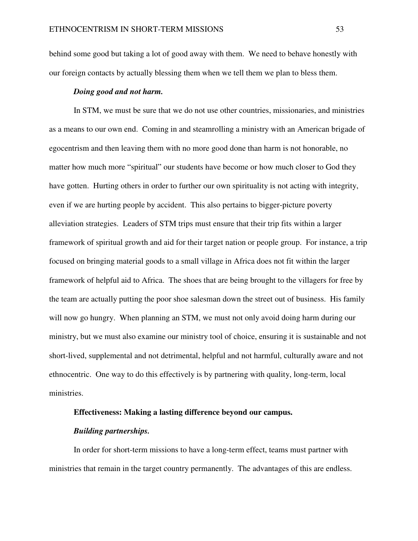behind some good but taking a lot of good away with them. We need to behave honestly with our foreign contacts by actually blessing them when we tell them we plan to bless them.

# *Doing good and not harm.*

In STM, we must be sure that we do not use other countries, missionaries, and ministries as a means to our own end. Coming in and steamrolling a ministry with an American brigade of egocentrism and then leaving them with no more good done than harm is not honorable, no matter how much more "spiritual" our students have become or how much closer to God they have gotten. Hurting others in order to further our own spirituality is not acting with integrity, even if we are hurting people by accident. This also pertains to bigger-picture poverty alleviation strategies. Leaders of STM trips must ensure that their trip fits within a larger framework of spiritual growth and aid for their target nation or people group. For instance, a trip focused on bringing material goods to a small village in Africa does not fit within the larger framework of helpful aid to Africa. The shoes that are being brought to the villagers for free by the team are actually putting the poor shoe salesman down the street out of business. His family will now go hungry. When planning an STM, we must not only avoid doing harm during our ministry, but we must also examine our ministry tool of choice, ensuring it is sustainable and not short-lived, supplemental and not detrimental, helpful and not harmful, culturally aware and not ethnocentric. One way to do this effectively is by partnering with quality, long-term, local ministries.

# **Effectiveness: Making a lasting difference beyond our campus.**

# *Building partnerships.*

In order for short-term missions to have a long-term effect, teams must partner with ministries that remain in the target country permanently. The advantages of this are endless.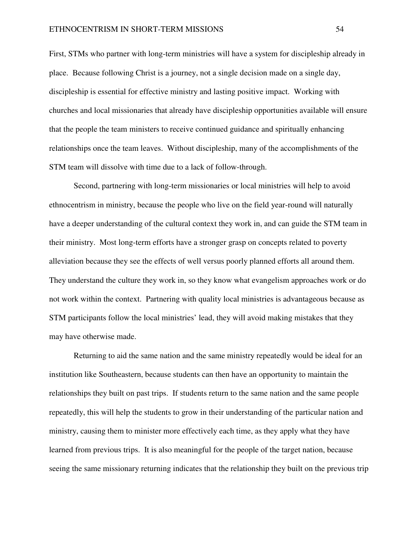First, STMs who partner with long-term ministries will have a system for discipleship already in place. Because following Christ is a journey, not a single decision made on a single day, discipleship is essential for effective ministry and lasting positive impact. Working with churches and local missionaries that already have discipleship opportunities available will ensure that the people the team ministers to receive continued guidance and spiritually enhancing relationships once the team leaves. Without discipleship, many of the accomplishments of the STM team will dissolve with time due to a lack of follow-through.

 Second, partnering with long-term missionaries or local ministries will help to avoid ethnocentrism in ministry, because the people who live on the field year-round will naturally have a deeper understanding of the cultural context they work in, and can guide the STM team in their ministry. Most long-term efforts have a stronger grasp on concepts related to poverty alleviation because they see the effects of well versus poorly planned efforts all around them. They understand the culture they work in, so they know what evangelism approaches work or do not work within the context. Partnering with quality local ministries is advantageous because as STM participants follow the local ministries' lead, they will avoid making mistakes that they may have otherwise made.

 Returning to aid the same nation and the same ministry repeatedly would be ideal for an institution like Southeastern, because students can then have an opportunity to maintain the relationships they built on past trips. If students return to the same nation and the same people repeatedly, this will help the students to grow in their understanding of the particular nation and ministry, causing them to minister more effectively each time, as they apply what they have learned from previous trips. It is also meaningful for the people of the target nation, because seeing the same missionary returning indicates that the relationship they built on the previous trip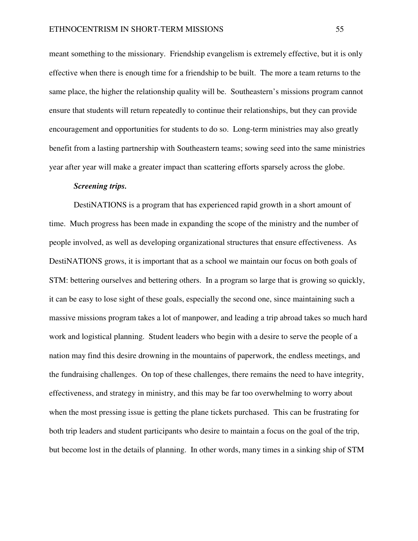meant something to the missionary. Friendship evangelism is extremely effective, but it is only effective when there is enough time for a friendship to be built. The more a team returns to the same place, the higher the relationship quality will be. Southeastern's missions program cannot ensure that students will return repeatedly to continue their relationships, but they can provide encouragement and opportunities for students to do so. Long-term ministries may also greatly benefit from a lasting partnership with Southeastern teams; sowing seed into the same ministries year after year will make a greater impact than scattering efforts sparsely across the globe.

# *Screening trips.*

 DestiNATIONS is a program that has experienced rapid growth in a short amount of time. Much progress has been made in expanding the scope of the ministry and the number of people involved, as well as developing organizational structures that ensure effectiveness. As DestiNATIONS grows, it is important that as a school we maintain our focus on both goals of STM: bettering ourselves and bettering others. In a program so large that is growing so quickly, it can be easy to lose sight of these goals, especially the second one, since maintaining such a massive missions program takes a lot of manpower, and leading a trip abroad takes so much hard work and logistical planning. Student leaders who begin with a desire to serve the people of a nation may find this desire drowning in the mountains of paperwork, the endless meetings, and the fundraising challenges. On top of these challenges, there remains the need to have integrity, effectiveness, and strategy in ministry, and this may be far too overwhelming to worry about when the most pressing issue is getting the plane tickets purchased. This can be frustrating for both trip leaders and student participants who desire to maintain a focus on the goal of the trip, but become lost in the details of planning. In other words, many times in a sinking ship of STM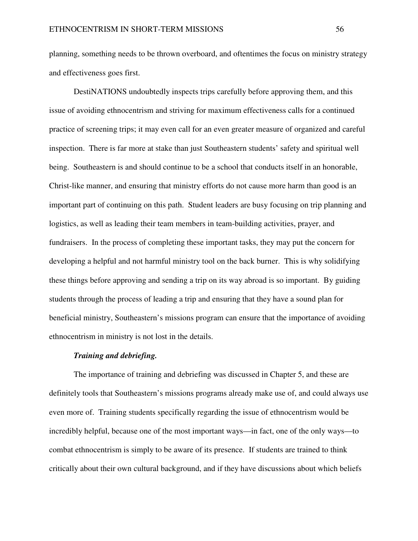planning, something needs to be thrown overboard, and oftentimes the focus on ministry strategy and effectiveness goes first.

 DestiNATIONS undoubtedly inspects trips carefully before approving them, and this issue of avoiding ethnocentrism and striving for maximum effectiveness calls for a continued practice of screening trips; it may even call for an even greater measure of organized and careful inspection. There is far more at stake than just Southeastern students' safety and spiritual well being. Southeastern is and should continue to be a school that conducts itself in an honorable, Christ-like manner, and ensuring that ministry efforts do not cause more harm than good is an important part of continuing on this path. Student leaders are busy focusing on trip planning and logistics, as well as leading their team members in team-building activities, prayer, and fundraisers. In the process of completing these important tasks, they may put the concern for developing a helpful and not harmful ministry tool on the back burner. This is why solidifying these things before approving and sending a trip on its way abroad is so important. By guiding students through the process of leading a trip and ensuring that they have a sound plan for beneficial ministry, Southeastern's missions program can ensure that the importance of avoiding ethnocentrism in ministry is not lost in the details.

### *Training and debriefing.*

 The importance of training and debriefing was discussed in Chapter 5, and these are definitely tools that Southeastern's missions programs already make use of, and could always use even more of. Training students specifically regarding the issue of ethnocentrism would be incredibly helpful, because one of the most important ways—in fact, one of the only ways—to combat ethnocentrism is simply to be aware of its presence. If students are trained to think critically about their own cultural background, and if they have discussions about which beliefs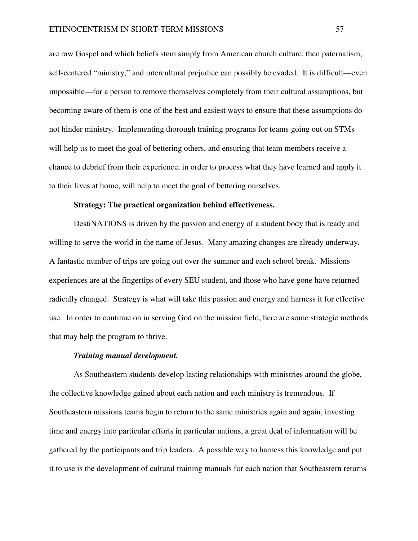are raw Gospel and which beliefs stem simply from American church culture, then paternalism, self-centered "ministry," and intercultural prejudice can possibly be evaded. It is difficult—even impossible—for a person to remove themselves completely from their cultural assumptions, but becoming aware of them is one of the best and easiest ways to ensure that these assumptions do not hinder ministry. Implementing thorough training programs for teams going out on STMs will help us to meet the goal of bettering others, and ensuring that team members receive a chance to debrief from their experience, in order to process what they have learned and apply it to their lives at home, will help to meet the goal of bettering ourselves.

### **Strategy: The practical organization behind effectiveness.**

 DestiNATIONS is driven by the passion and energy of a student body that is ready and willing to serve the world in the name of Jesus. Many amazing changes are already underway. A fantastic number of trips are going out over the summer and each school break. Missions experiences are at the fingertips of every SEU student, and those who have gone have returned radically changed. Strategy is what will take this passion and energy and harness it for effective use. In order to continue on in serving God on the mission field, here are some strategic methods that may help the program to thrive.

# *Training manual development.*

 As Southeastern students develop lasting relationships with ministries around the globe, the collective knowledge gained about each nation and each ministry is tremendous. If Southeastern missions teams begin to return to the same ministries again and again, investing time and energy into particular efforts in particular nations, a great deal of information will be gathered by the participants and trip leaders. A possible way to harness this knowledge and put it to use is the development of cultural training manuals for each nation that Southeastern returns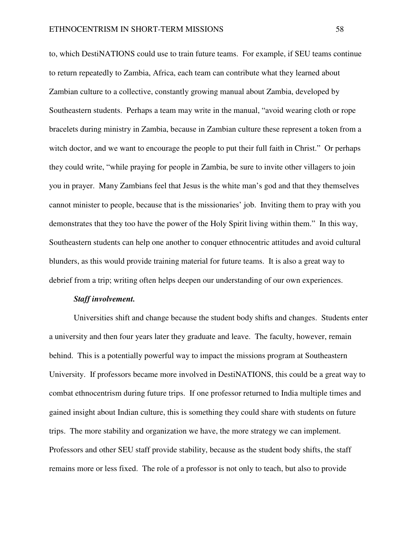to, which DestiNATIONS could use to train future teams. For example, if SEU teams continue to return repeatedly to Zambia, Africa, each team can contribute what they learned about Zambian culture to a collective, constantly growing manual about Zambia, developed by Southeastern students. Perhaps a team may write in the manual, "avoid wearing cloth or rope bracelets during ministry in Zambia, because in Zambian culture these represent a token from a witch doctor, and we want to encourage the people to put their full faith in Christ." Or perhaps they could write, "while praying for people in Zambia, be sure to invite other villagers to join you in prayer. Many Zambians feel that Jesus is the white man's god and that they themselves cannot minister to people, because that is the missionaries' job. Inviting them to pray with you demonstrates that they too have the power of the Holy Spirit living within them." In this way, Southeastern students can help one another to conquer ethnocentric attitudes and avoid cultural blunders, as this would provide training material for future teams. It is also a great way to debrief from a trip; writing often helps deepen our understanding of our own experiences.

### *Staff involvement.*

 Universities shift and change because the student body shifts and changes. Students enter a university and then four years later they graduate and leave. The faculty, however, remain behind. This is a potentially powerful way to impact the missions program at Southeastern University. If professors became more involved in DestiNATIONS, this could be a great way to combat ethnocentrism during future trips. If one professor returned to India multiple times and gained insight about Indian culture, this is something they could share with students on future trips. The more stability and organization we have, the more strategy we can implement. Professors and other SEU staff provide stability, because as the student body shifts, the staff remains more or less fixed. The role of a professor is not only to teach, but also to provide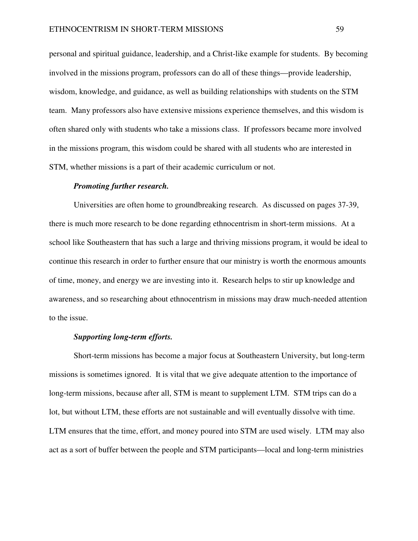personal and spiritual guidance, leadership, and a Christ-like example for students. By becoming involved in the missions program, professors can do all of these things—provide leadership, wisdom, knowledge, and guidance, as well as building relationships with students on the STM team. Many professors also have extensive missions experience themselves, and this wisdom is often shared only with students who take a missions class. If professors became more involved in the missions program, this wisdom could be shared with all students who are interested in STM, whether missions is a part of their academic curriculum or not.

#### *Promoting further research.*

 Universities are often home to groundbreaking research. As discussed on pages 37-39, there is much more research to be done regarding ethnocentrism in short-term missions. At a school like Southeastern that has such a large and thriving missions program, it would be ideal to continue this research in order to further ensure that our ministry is worth the enormous amounts of time, money, and energy we are investing into it. Research helps to stir up knowledge and awareness, and so researching about ethnocentrism in missions may draw much-needed attention to the issue.

# *Supporting long-term efforts.*

 Short-term missions has become a major focus at Southeastern University, but long-term missions is sometimes ignored. It is vital that we give adequate attention to the importance of long-term missions, because after all, STM is meant to supplement LTM. STM trips can do a lot, but without LTM, these efforts are not sustainable and will eventually dissolve with time. LTM ensures that the time, effort, and money poured into STM are used wisely. LTM may also act as a sort of buffer between the people and STM participants—local and long-term ministries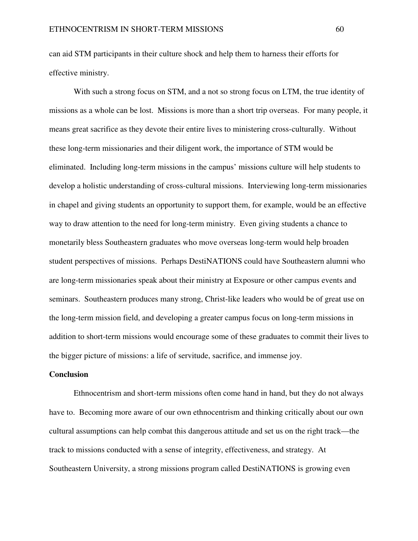can aid STM participants in their culture shock and help them to harness their efforts for effective ministry.

With such a strong focus on STM, and a not so strong focus on LTM, the true identity of missions as a whole can be lost. Missions is more than a short trip overseas. For many people, it means great sacrifice as they devote their entire lives to ministering cross-culturally. Without these long-term missionaries and their diligent work, the importance of STM would be eliminated. Including long-term missions in the campus' missions culture will help students to develop a holistic understanding of cross-cultural missions. Interviewing long-term missionaries in chapel and giving students an opportunity to support them, for example, would be an effective way to draw attention to the need for long-term ministry. Even giving students a chance to monetarily bless Southeastern graduates who move overseas long-term would help broaden student perspectives of missions. Perhaps DestiNATIONS could have Southeastern alumni who are long-term missionaries speak about their ministry at Exposure or other campus events and seminars. Southeastern produces many strong, Christ-like leaders who would be of great use on the long-term mission field, and developing a greater campus focus on long-term missions in addition to short-term missions would encourage some of these graduates to commit their lives to the bigger picture of missions: a life of servitude, sacrifice, and immense joy.

### **Conclusion**

 Ethnocentrism and short-term missions often come hand in hand, but they do not always have to. Becoming more aware of our own ethnocentrism and thinking critically about our own cultural assumptions can help combat this dangerous attitude and set us on the right track—the track to missions conducted with a sense of integrity, effectiveness, and strategy. At Southeastern University, a strong missions program called DestiNATIONS is growing even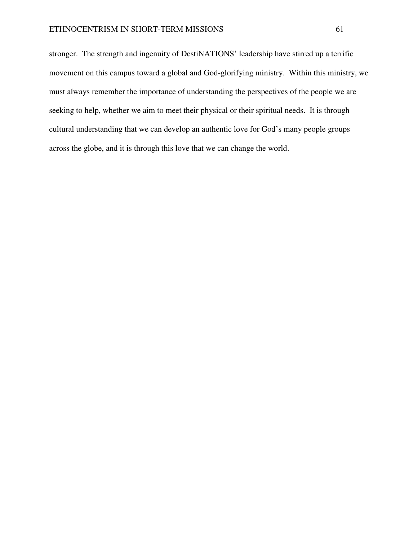stronger. The strength and ingenuity of DestiNATIONS' leadership have stirred up a terrific movement on this campus toward a global and God-glorifying ministry. Within this ministry, we must always remember the importance of understanding the perspectives of the people we are seeking to help, whether we aim to meet their physical or their spiritual needs. It is through cultural understanding that we can develop an authentic love for God's many people groups across the globe, and it is through this love that we can change the world.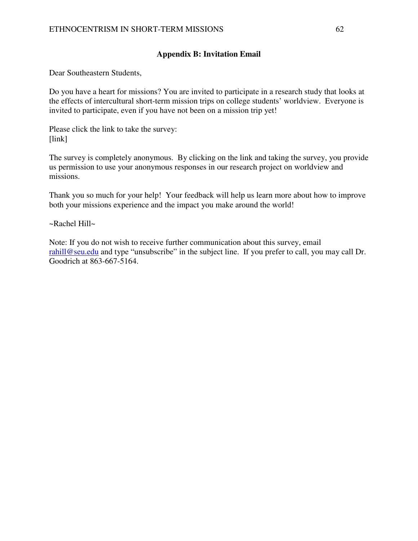# **Appendix B: Invitation Email**

Dear Southeastern Students,

Do you have a heart for missions? You are invited to participate in a research study that looks at the effects of intercultural short-term mission trips on college students' worldview. Everyone is invited to participate, even if you have not been on a mission trip yet!

Please click the link to take the survey: [link]

The survey is completely anonymous. By clicking on the link and taking the survey, you provide us permission to use your anonymous responses in our research project on worldview and missions.

Thank you so much for your help! Your feedback will help us learn more about how to improve both your missions experience and the impact you make around the world!

~Rachel Hill~

Note: If you do not wish to receive further communication about this survey, email rahill@seu.edu and type "unsubscribe" in the subject line. If you prefer to call, you may call Dr. Goodrich at 863-667-5164.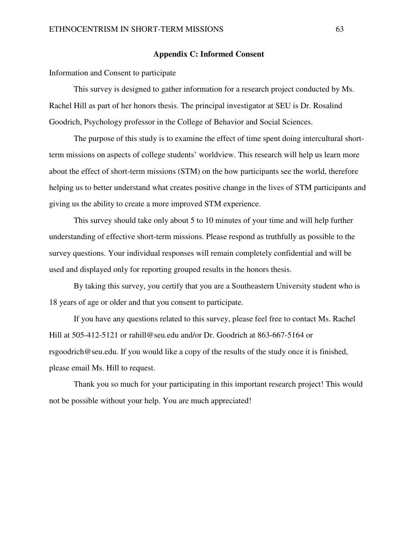# **Appendix C: Informed Consent**

Information and Consent to participate

This survey is designed to gather information for a research project conducted by Ms. Rachel Hill as part of her honors thesis. The principal investigator at SEU is Dr. Rosalind Goodrich, Psychology professor in the College of Behavior and Social Sciences.

The purpose of this study is to examine the effect of time spent doing intercultural shortterm missions on aspects of college students' worldview. This research will help us learn more about the effect of short-term missions (STM) on the how participants see the world, therefore helping us to better understand what creates positive change in the lives of STM participants and giving us the ability to create a more improved STM experience.

This survey should take only about 5 to 10 minutes of your time and will help further understanding of effective short-term missions. Please respond as truthfully as possible to the survey questions. Your individual responses will remain completely confidential and will be used and displayed only for reporting grouped results in the honors thesis.

By taking this survey, you certify that you are a Southeastern University student who is 18 years of age or older and that you consent to participate.

If you have any questions related to this survey, please feel free to contact Ms. Rachel Hill at 505-412-5121 or rahill@seu.edu and/or Dr. Goodrich at 863-667-5164 or rsgoodrich@seu.edu. If you would like a copy of the results of the study once it is finished, please email Ms. Hill to request.

Thank you so much for your participating in this important research project! This would not be possible without your help. You are much appreciated!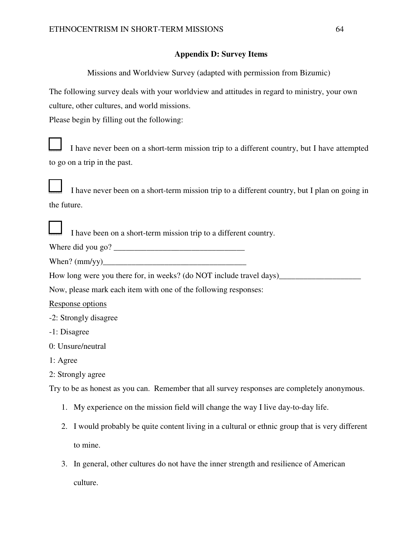# **Appendix D: Survey Items**

Missions and Worldview Survey (adapted with permission from Bizumic)

The following survey deals with your worldview and attitudes in regard to ministry, your own culture, other cultures, and world missions.

Please begin by filling out the following:



I have never been on a short-term mission trip to a different country, but I have attempted to go on a trip in the past.

I have never been on a short-term mission trip to a different country, but I plan on going in the future.

I have been on a short-term mission trip to a different country.

Where did you go? \_\_\_\_\_\_\_\_\_\_\_\_\_\_\_\_\_\_\_\_\_\_\_\_\_\_\_\_\_\_\_\_

When? (mm/yy)\_\_\_\_\_\_\_\_\_\_\_\_\_\_\_\_\_\_\_\_\_\_\_\_\_\_\_\_\_\_\_\_\_\_\_

How long were you there for, in weeks? (do NOT include travel days)

Now, please mark each item with one of the following responses:

Response options

-2: Strongly disagree

- -1: Disagree
- 0: Unsure/neutral
- 1: Agree
- 2: Strongly agree

Try to be as honest as you can. Remember that all survey responses are completely anonymous.

- 1. My experience on the mission field will change the way I live day-to-day life.
- 2. I would probably be quite content living in a cultural or ethnic group that is very different to mine.
- 3. In general, other cultures do not have the inner strength and resilience of American culture.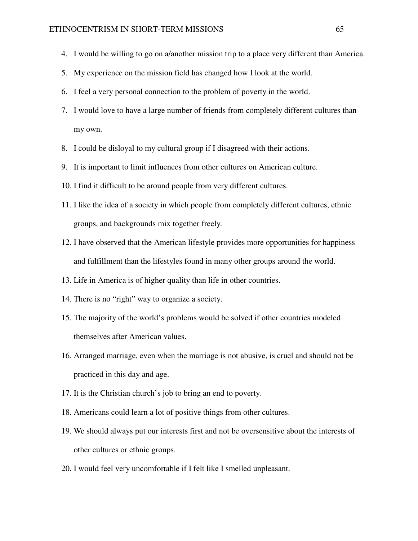- 4. I would be willing to go on a/another mission trip to a place very different than America.
- 5. My experience on the mission field has changed how I look at the world.
- 6. I feel a very personal connection to the problem of poverty in the world.
- 7. I would love to have a large number of friends from completely different cultures than my own.
- 8. I could be disloyal to my cultural group if I disagreed with their actions.
- 9. It is important to limit influences from other cultures on American culture.
- 10. I find it difficult to be around people from very different cultures.
- 11. I like the idea of a society in which people from completely different cultures, ethnic groups, and backgrounds mix together freely.
- 12. I have observed that the American lifestyle provides more opportunities for happiness and fulfillment than the lifestyles found in many other groups around the world.
- 13. Life in America is of higher quality than life in other countries.
- 14. There is no "right" way to organize a society.
- 15. The majority of the world's problems would be solved if other countries modeled themselves after American values.
- 16. Arranged marriage, even when the marriage is not abusive, is cruel and should not be practiced in this day and age.
- 17. It is the Christian church's job to bring an end to poverty.
- 18. Americans could learn a lot of positive things from other cultures.
- 19. We should always put our interests first and not be oversensitive about the interests of other cultures or ethnic groups.
- 20. I would feel very uncomfortable if I felt like I smelled unpleasant.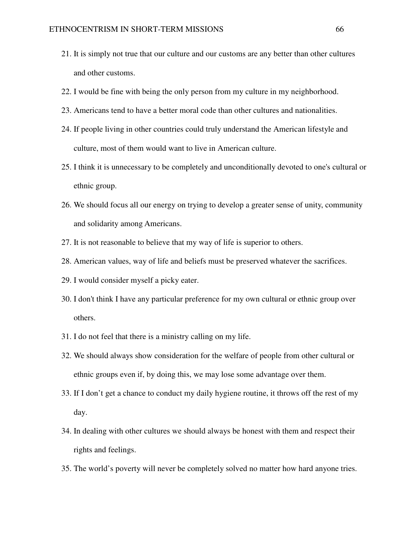- 21. It is simply not true that our culture and our customs are any better than other cultures and other customs.
- 22. I would be fine with being the only person from my culture in my neighborhood.
- 23. Americans tend to have a better moral code than other cultures and nationalities.
- 24. If people living in other countries could truly understand the American lifestyle and culture, most of them would want to live in American culture.
- 25. I think it is unnecessary to be completely and unconditionally devoted to one's cultural or ethnic group.
- 26. We should focus all our energy on trying to develop a greater sense of unity, community and solidarity among Americans.
- 27. It is not reasonable to believe that my way of life is superior to others.
- 28. American values, way of life and beliefs must be preserved whatever the sacrifices.
- 29. I would consider myself a picky eater.
- 30. I don't think I have any particular preference for my own cultural or ethnic group over others.
- 31. I do not feel that there is a ministry calling on my life.
- 32. We should always show consideration for the welfare of people from other cultural or ethnic groups even if, by doing this, we may lose some advantage over them.
- 33. If I don't get a chance to conduct my daily hygiene routine, it throws off the rest of my day.
- 34. In dealing with other cultures we should always be honest with them and respect their rights and feelings.
- 35. The world's poverty will never be completely solved no matter how hard anyone tries.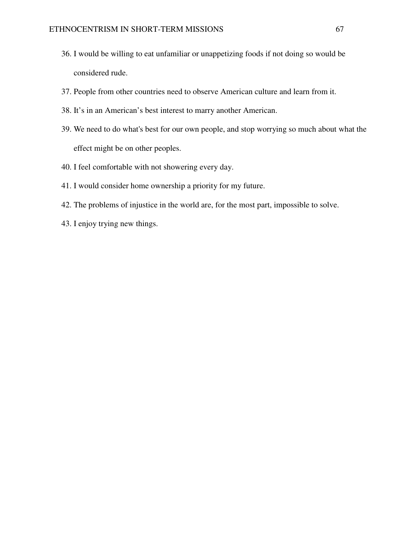- 36. I would be willing to eat unfamiliar or unappetizing foods if not doing so would be considered rude.
- 37. People from other countries need to observe American culture and learn from it.
- 38. It's in an American's best interest to marry another American.
- 39. We need to do what's best for our own people, and stop worrying so much about what the effect might be on other peoples.
- 40. I feel comfortable with not showering every day.
- 41. I would consider home ownership a priority for my future.
- 42. The problems of injustice in the world are, for the most part, impossible to solve.
- 43. I enjoy trying new things.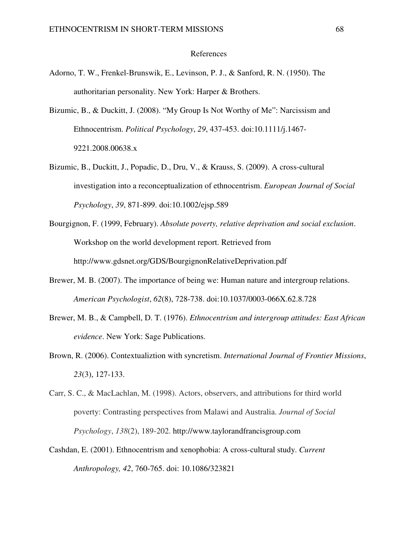## References

- Adorno, T. W., Frenkel-Brunswik, E., Levinson, P. J., & Sanford, R. N. (1950). The authoritarian personality. New York: Harper & Brothers.
- Bizumic, B., & Duckitt, J. (2008). "My Group Is Not Worthy of Me": Narcissism and Ethnocentrism. *Political Psychology*, *29*, 437-453. doi:10.1111/j.1467- 9221.2008.00638.x
- Bizumic, B., Duckitt, J., Popadic, D., Dru, V., & Krauss, S. (2009). A cross-cultural investigation into a reconceptualization of ethnocentrism. *European Journal of Social Psychology*, *39*, 871-899. doi:10.1002/ejsp.589
- Bourgignon, F. (1999, February). *Absolute poverty, relative deprivation and social exclusion*. Workshop on the world development report. Retrieved from http://www.gdsnet.org/GDS/BourgignonRelativeDeprivation.pdf
- Brewer, M. B. (2007). The importance of being we: Human nature and intergroup relations. *American Psychologist*, *62*(8), 728-738. doi:10.1037/0003-066X.62.8.728
- Brewer, M. B., & Campbell, D. T. (1976). *Ethnocentrism and intergroup attitudes: East African evidence*. New York: Sage Publications.
- Brown, R. (2006). Contextualiztion with syncretism. *International Journal of Frontier Missions*, *23*(3), 127-133.
- Carr, S. C., & MacLachlan, M. (1998). Actors, observers, and attributions for third world poverty: Contrasting perspectives from Malawi and Australia. *Journal of Social Psychology*, *138*(2), 189-202. http://www.taylorandfrancisgroup.com
- Cashdan, E. (2001). Ethnocentrism and xenophobia: A cross-cultural study. *Current Anthropology, 42*, 760-765. doi: 10.1086/323821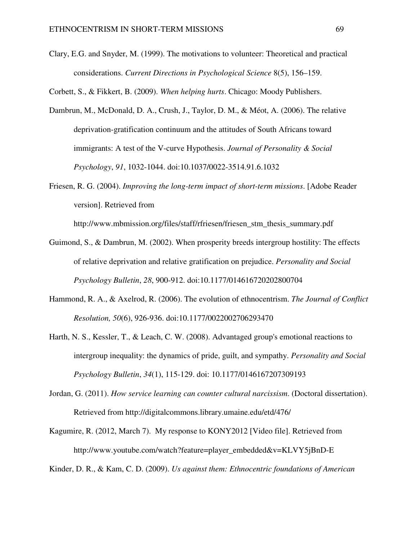Clary, E.G. and Snyder, M. (1999). The motivations to volunteer: Theoretical and practical considerations. *Current Directions in Psychological Science* 8(5), 156–159.

Corbett, S., & Fikkert, B. (2009). *When helping hurts*. Chicago: Moody Publishers.

- Dambrun, M., McDonald, D. A., Crush, J., Taylor, D. M., & Méot, A. (2006). The relative deprivation-gratification continuum and the attitudes of South Africans toward immigrants: A test of the V-curve Hypothesis. *Journal of Personality & Social Psychology*, *91*, 1032-1044. doi:10.1037/0022-3514.91.6.1032
- Friesen, R. G. (2004). *Improving the long-term impact of short-term missions*. [Adobe Reader version]. Retrieved from

http://www.mbmission.org/files/staff/rfriesen/friesen\_stm\_thesis\_summary.pdf

- Guimond, S., & Dambrun, M. (2002). When prosperity breeds intergroup hostility: The effects of relative deprivation and relative gratification on prejudice. *Personality and Social Psychology Bulletin*, *28*, 900-912. doi:10.1177/014616720202800704
- Hammond, R. A., & Axelrod, R. (2006). The evolution of ethnocentrism. *The Journal of Conflict Resolution, 50*(6), 926-936. doi:10.1177/0022002706293470
- Harth, N. S., Kessler, T., & Leach, C. W. (2008). Advantaged group's emotional reactions to intergroup inequality: the dynamics of pride, guilt, and sympathy. *Personality and Social Psychology Bulletin*, *34*(1), 115-129. doi: 10.1177/0146167207309193
- Jordan, G. (2011). *How service learning can counter cultural narcissism*. (Doctoral dissertation). Retrieved from http://digitalcommons.library.umaine.edu/etd/476/
- Kagumire, R. (2012, March 7). My response to KONY2012 [Video file]. Retrieved from http://www.youtube.com/watch?feature=player\_embedded&v=KLVY5jBnD-E

Kinder, D. R., & Kam, C. D. (2009). *Us against them: Ethnocentric foundations of American*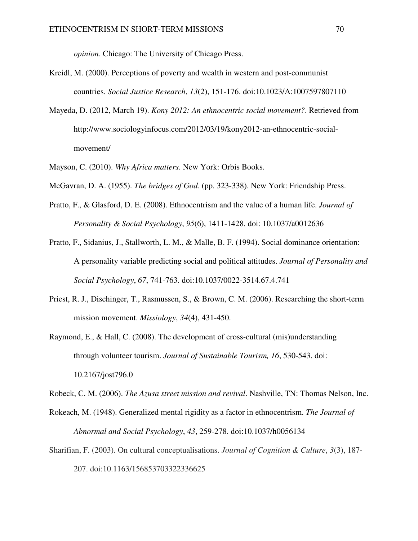*opinion*. Chicago: The University of Chicago Press.

- Kreidl, M. (2000). Perceptions of poverty and wealth in western and post-communist countries. *Social Justice Research*, *13*(2), 151-176. doi:10.1023/A:1007597807110
- Mayeda, D. (2012, March 19). *Kony 2012: An ethnocentric social movement?*. Retrieved from http://www.sociologyinfocus.com/2012/03/19/kony2012-an-ethnocentric-socialmovement/
- Mayson, C. (2010). *Why Africa matters*. New York: Orbis Books.
- McGavran, D. A. (1955). *The bridges of God*. (pp. 323-338). New York: Friendship Press.
- Pratto, F., & Glasford, D. E. (2008). Ethnocentrism and the value of a human life. *Journal of Personality & Social Psychology*, *95*(6), 1411-1428. doi: 10.1037/a0012636
- Pratto, F., Sidanius, J., Stallworth, L. M., & Malle, B. F. (1994). Social dominance orientation: A personality variable predicting social and political attitudes. *Journal of Personality and Social Psychology*, *67*, 741-763. doi:10.1037/0022-3514.67.4.741
- Priest, R. J., Dischinger, T., Rasmussen, S., & Brown, C. M. (2006). Researching the short-term mission movement. *Missiology*, *34*(4), 431-450.
- Raymond, E., & Hall, C. (2008). The development of cross-cultural (mis)understanding through volunteer tourism. *Journal of Sustainable Tourism, 16*, 530-543. doi: 10.2167/jost796.0

Robeck, C. M. (2006). *The Azusa street mission and revival*. Nashville, TN: Thomas Nelson, Inc.

- Rokeach, M. (1948). Generalized mental rigidity as a factor in ethnocentrism. *The Journal of Abnormal and Social Psychology*, *43*, 259-278. doi:10.1037/h0056134
- Sharifian, F. (2003). On cultural conceptualisations. *Journal of Cognition & Culture*, *3*(3), 187- 207. doi:10.1163/156853703322336625